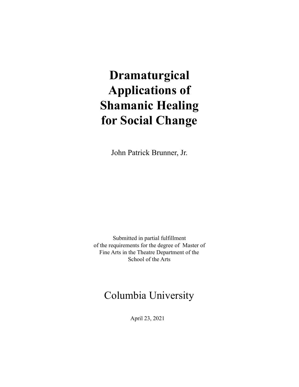# **Dramaturgical Applications of Shamanic Healing for Social Change**

John Patrick Brunner, Jr.

Submitted in partial fulfillment of the requirements for the degree of Master of Fine Arts in the Theatre Department of the School of the Arts

# Columbia University

April 23, 2021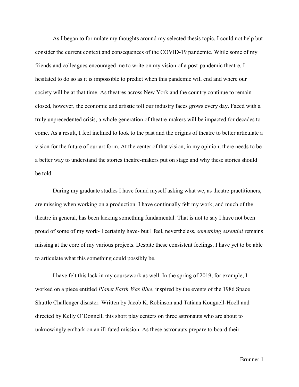As I began to formulate my thoughts around my selected thesis topic, I could not help but consider the current context and consequences of the COVID-19 pandemic. While some of my friends and colleagues encouraged me to write on my vision of a post-pandemic theatre, I hesitated to do so as it is impossible to predict when this pandemic will end and where our society will be at that time. As theatres across New York and the country continue to remain closed, however, the economic and artistic toll our industry faces grows every day. Faced with a truly unprecedented crisis, a whole generation of theatre-makers will be impacted for decades to come. As a result, I feel inclined to look to the past and the origins of theatre to better articulate a vision for the future of our art form. At the center of that vision, in my opinion, there needs to be a better way to understand the stories theatre-makers put on stage and why these stories should be told.

During my graduate studies I have found myself asking what we, as theatre practitioners, are missing when working on a production. I have continually felt my work, and much of the theatre in general, has been lacking something fundamental. That is not to say I have not been proud of some of my work- I certainly have- but I feel, nevertheless, *something essential* remains missing at the core of my various projects. Despite these consistent feelings, I have yet to be able to articulate what this something could possibly be.

I have felt this lack in my coursework as well. In the spring of 2019, for example, I worked on a piece entitled *Planet Earth Was Blue*, inspired by the events of the 1986 Space Shuttle Challenger disaster. Written by Jacob K. Robinson and Tatiana Kouguell-Hoell and directed by Kelly O'Donnell, this short play centers on three astronauts who are about to unknowingly embark on an ill-fated mission. As these astronauts prepare to board their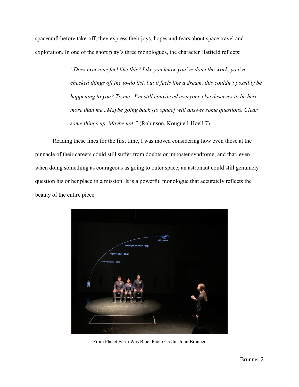spacecraft before take-off, they express their joys, hopes and fears about space travel and exploration. In one of the short play's three monologues, the character Hatfield reflects:

> *"Does everyone feel like this? Like you know you've done the work, you've checked things off the to-do list, but it feels like a dream, this couldn't possibly be happening to you? To me...I'm still convinced everyone else deserves to be here more than me...Maybe going back [to space] will answer some questions. Clear some things up. Maybe not."* (Robinson, Kouguell-Hoell 7)

Reading these lines for the first time, I was moved considering how even those at the pinnacle of their careers could still suffer from doubts or imposter syndrome; and that, even when doing something as courageous as going to outer space, an astronaut could still genuinely question his or her place in a mission. It is a powerful monologue that accurately reflects the beauty of the entire piece.



From Planet Earth Was Blue. Photo Credit: John Brunner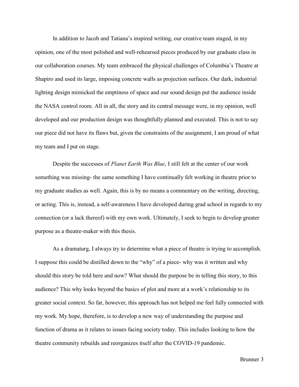In addition to Jacob and Tatiana's inspired writing, our creative team staged, in my opinion, one of the most polished and well-rehearsed pieces produced by our graduate class in our collaboration courses. My team embraced the physical challenges of Columbia's Theatre at Shapiro and used its large, imposing concrete walls as projection surfaces. Our dark, industrial lighting design mimicked the emptiness of space and our sound design put the audience inside the NASA control room. All in all, the story and its central message were, in my opinion, well developed and our production design was thoughtfully planned and executed. This is not to say our piece did not have its flaws but, given the constraints of the assignment, I am proud of what my team and I put on stage.

Despite the successes of *Planet Earth Was Blue*, I still felt at the center of our work something was missing- the same something I have continually felt working in theatre prior to my graduate studies as well. Again, this is by no means a commentary on the writing, directing, or acting. This is, instead, a self-awareness I have developed during grad school in regards to my connection (or a lack thereof) with my own work. Ultimately, I seek to begin to develop greater purpose as a theatre-maker with this thesis.

As a dramaturg, I always try to determine what a piece of theatre is trying to accomplish. I suppose this could be distilled down to the "why" of a piece- why was it written and why should this story be told here and now? What should the purpose be in telling this story, to this audience? This why looks beyond the basics of plot and more at a work's relationship to its greater social context. So far, however, this approach has not helped me feel fully connected with my work. My hope, therefore, is to develop a new way of understanding the purpose and function of drama as it relates to issues facing society today. This includes looking to how the theatre community rebuilds and reorganizes itself after the COVID-19 pandemic.

Brunner 3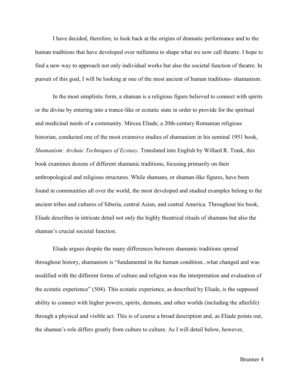I have decided, therefore, to look back at the origins of dramatic performance and to the human traditions that have developed over millennia to shape what we now call theatre. I hope to find a new way to approach not only individual works but also the societal function of theatre. In pursuit of this goal, I will be looking at one of the most ancient of human traditions- shamanism.

In the most simplistic form, a shaman is a religious figure believed to connect with spirits or the divine by entering into a trance-like or ecstatic state in order to provide for the spiritual and medicinal needs of a community. Mircea Eliade, a 20th-century Romanian religious historian, conducted one of the most extensive studies of shamanism in his seminal 1951 book, *Shamanism: Archaic Techniques of Ecstasy*. Translated into English by Willard R. Trask, this book examines dozens of different shamanic traditions, focusing primarily on their anthropological and religious structures. While shamans, or shaman-like figures, have been found in communities all over the world, the most developed and studied examples belong to the ancient tribes and cultures of Siberia, central Asian, and central America. Throughout his book, Eliade describes in intricate detail not only the highly theatrical rituals of shamans but also the shaman's crucial societal function.

Eliade argues despite the many differences between shamanic traditions spread throughout history, shamanism is "fundamental in the human condition...what changed and was modified with the different forms of culture and religion was the interpretation and evaluation of the ecstatic experience" (504). This ecstatic experience, as described by Eliade, is the supposed ability to connect with higher powers, spirits, demons, and other worlds (including the afterlife) through a physical and visible act. This is of course a broad description and, as Eliade points out, the shaman's role differs greatly from culture to culture. As I will detail below, however,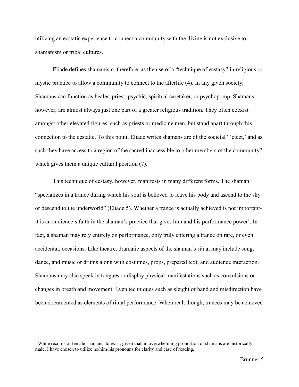utilizing an ecstatic experience to connect a community with the divine is not exclusive to shamanism or tribal cultures.

Eliade defines shamanism, therefore, as the use of a "technique of ecstasy" in religious or mystic practice to allow a community to connect to the afterlife (4). In any given society, Shamans can function as healer, priest, psychic, spiritual caretaker, or psychopomp. Shamans, however, are almost always just one part of a greater religious tradition. They often coexist amongst other elevated figures, such as priests or medicine men, but stand apart through this connection to the ecstatic. To this point, Eliade writes shamans are of the societal "'elect,' and as such they have access to a region of the sacred inaccessible to other members of the community" which gives them a unique cultural position  $(7)$ .

This technique of ecstasy, however, manifests in many different forms. The shaman "specializes in a trance during which his soul is believed to leave his body and ascend to the sky or descend to the underworld" (Eliade 5). Whether a trance is actually achieved is not importantit is an audience's faith in the shaman's practice that gives him and his performance power<sup>1</sup>. In fact, a shaman may rely entirely on performance, only truly entering a trance on rare, or even accidental, occasions. Like theatre, dramatic aspects of the shaman's ritual may include song, dance, and music or drums along with costumes, props, prepared text, and audience interaction. Shamans may also speak in tongues or display physical manifestations such as convulsions or changes in breath and movement. Even techniques such as sleight of hand and misdirection have been documented as elements of ritual performance. When real, though, trances may be achieved

 $\overline{\phantom{a}}$ 

<sup>&</sup>lt;sup>1</sup> While records of female shamans do exist, given that an overwhelming proportion of shamans are historically male, I have chosen to utilize he/him/his pronouns for clarity and ease of reading.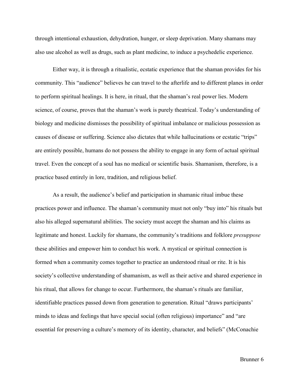through intentional exhaustion, dehydration, hunger, or sleep deprivation. Many shamans may also use alcohol as well as drugs, such as plant medicine, to induce a psychedelic experience.

Either way, it is through a ritualistic, ecstatic experience that the shaman provides for his community. This "audience" believes he can travel to the afterlife and to different planes in order to perform spiritual healings. It is here, in ritual, that the shaman's real power lies. Modern science, of course, proves that the shaman's work is purely theatrical. Today's understanding of biology and medicine dismisses the possibility of spiritual imbalance or malicious possession as causes of disease or suffering. Science also dictates that while hallucinations or ecstatic "trips" are entirely possible, humans do not possess the ability to engage in any form of actual spiritual travel. Even the concept of a soul has no medical or scientific basis. Shamanism, therefore, is a practice based entirely in lore, tradition, and religious belief.

As a result, the audience's belief and participation in shamanic ritual imbue these practices power and influence. The shaman's community must not only "buy into" his rituals but also his alleged supernatural abilities. The society must accept the shaman and his claims as legitimate and honest. Luckily for shamans, the community's traditions and folklore *presuppose* these abilities and empower him to conduct his work. A mystical or spiritual connection is formed when a community comes together to practice an understood ritual or rite. It is his society's collective understanding of shamanism, as well as their active and shared experience in his ritual, that allows for change to occur. Furthermore, the shaman's rituals are familiar, identifiable practices passed down from generation to generation. Ritual "draws participants' minds to ideas and feelings that have special social (often religious) importance" and "are essential for preserving a culture's memory of its identity, character, and beliefs" (McConachie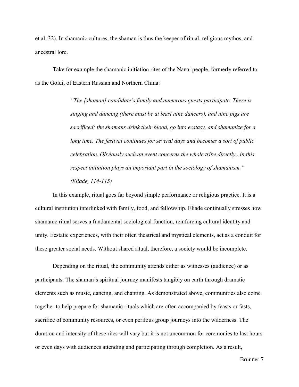et al. 32). In shamanic cultures, the shaman is thus the keeper of ritual, religious mythos, and ancestral lore.

Take for example the shamanic initiation rites of the Nanai people, formerly referred to as the Goldi, of Eastern Russian and Northern China:

> *"The [shaman] candidate's family and numerous guests participate. There is singing and dancing (there must be at least nine dancers), and nine pigs are sacrificed; the shamans drink their blood, go into ecstasy, and shamanize for a long time. The festival continues for several days and becomes a sort of public celebration. Obviously such an event concerns the whole tribe directly...in this respect initiation plays an important part in the sociology of shamanism." (Eliade, 114-115)*

In this example, ritual goes far beyond simple performance or religious practice. It is a cultural institution interlinked with family, food, and fellowship. Eliade continually stresses how shamanic ritual serves a fundamental sociological function, reinforcing cultural identity and unity. Ecstatic experiences, with their often theatrical and mystical elements, act as a conduit for these greater social needs. Without shared ritual, therefore, a society would be incomplete.

Depending on the ritual, the community attends either as witnesses (audience) or as participants. The shaman's spiritual journey manifests tangibly on earth through dramatic elements such as music, dancing, and chanting. As demonstrated above, communities also come together to help prepare for shamanic rituals which are often accompanied by feasts or fasts, sacrifice of community resources, or even perilous group journeys into the wilderness. The duration and intensity of these rites will vary but it is not uncommon for ceremonies to last hours or even days with audiences attending and participating through completion. As a result,

Brunner 7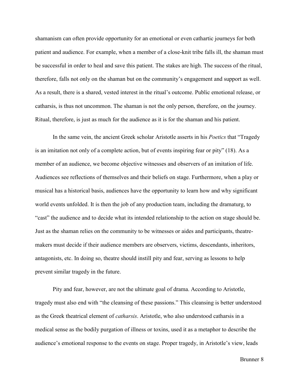shamanism can often provide opportunity for an emotional or even cathartic journeys for both patient and audience. For example, when a member of a close-knit tribe falls ill, the shaman must be successful in order to heal and save this patient. The stakes are high. The success of the ritual, therefore, falls not only on the shaman but on the community's engagement and support as well. As a result, there is a shared, vested interest in the ritual's outcome. Public emotional release, or catharsis, is thus not uncommon. The shaman is not the only person, therefore, on the journey. Ritual, therefore, is just as much for the audience as it is for the shaman and his patient.

In the same vein, the ancient Greek scholar Aristotle asserts in his *Poetics* that "Tragedy is an imitation not only of a complete action, but of events inspiring fear or pity" (18). As a member of an audience, we become objective witnesses and observers of an imitation of life. Audiences see reflections of themselves and their beliefs on stage. Furthermore, when a play or musical has a historical basis, audiences have the opportunity to learn how and why significant world events unfolded. It is then the job of any production team, including the dramaturg, to "cast" the audience and to decide what its intended relationship to the action on stage should be. Just as the shaman relies on the community to be witnesses or aides and participants, theatremakers must decide if their audience members are observers, victims, descendants, inheritors, antagonists, etc. In doing so, theatre should instill pity and fear, serving as lessons to help prevent similar tragedy in the future.

Pity and fear, however, are not the ultimate goal of drama. According to Aristotle, tragedy must also end with "the cleansing of these passions." This cleansing is better understood as the Greek theatrical element of *catharsis*. Aristotle, who also understood catharsis in a medical sense as the bodily purgation of illness or toxins, used it as a metaphor to describe the audience's emotional response to the events on stage. Proper tragedy, in Aristotle's view, leads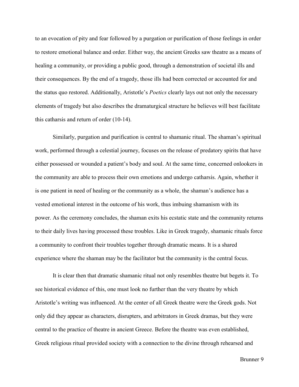to an evocation of pity and fear followed by a purgation or purification of those feelings in order to restore emotional balance and order. Either way, the ancient Greeks saw theatre as a means of healing a community, or providing a public good, through a demonstration of societal ills and their consequences. By the end of a tragedy, those ills had been corrected or accounted for and the status quo restored. Additionally, Aristotle's *Poetics* clearly lays out not only the necessary elements of tragedy but also describes the dramaturgical structure he believes will best facilitate this catharsis and return of order (10-14).

Similarly, purgation and purification is central to shamanic ritual. The shaman's spiritual work, performed through a celestial journey, focuses on the release of predatory spirits that have either possessed or wounded a patient's body and soul. At the same time, concerned onlookers in the community are able to process their own emotions and undergo catharsis. Again, whether it is one patient in need of healing or the community as a whole, the shaman's audience has a vested emotional interest in the outcome of his work, thus imbuing shamanism with its power. As the ceremony concludes, the shaman exits his ecstatic state and the community returns to their daily lives having processed these troubles. Like in Greek tragedy, shamanic rituals force a community to confront their troubles together through dramatic means. It is a shared experience where the shaman may be the facilitator but the community is the central focus.

It is clear then that dramatic shamanic ritual not only resembles theatre but begets it. To see historical evidence of this, one must look no further than the very theatre by which Aristotle's writing was influenced. At the center of all Greek theatre were the Greek gods. Not only did they appear as characters, disrupters, and arbitrators in Greek dramas, but they were central to the practice of theatre in ancient Greece. Before the theatre was even established, Greek religious ritual provided society with a connection to the divine through rehearsed and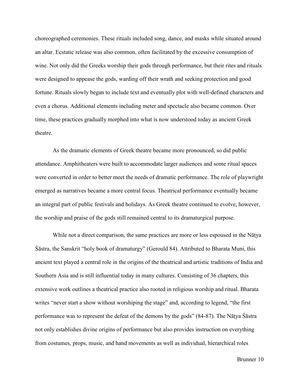choreographed ceremonies. These rituals included song, dance, and masks while situated around an altar. Ecstatic release was also common, often facilitated by the excessive consumption of wine. Not only did the Greeks worship their gods through performance, but their rites and rituals were designed to appease the gods, warding off their wrath and seeking protection and good fortune. Rituals slowly began to include text and eventually plot with well-defined characters and even a chorus. Additional elements including meter and spectacle also became common. Over time, these practices gradually morphed into what is now understood today as ancient Greek theatre.

As the dramatic elements of Greek theatre became more pronounced, so did public attendance. Amphitheaters were built to accommodate larger audiences and some ritual spaces were converted in order to better meet the needs of dramatic performance. The role of playwright emerged as narratives became a more central focus. Theatrical performance eventually became an integral part of public festivals and holidays. As Greek theatre continued to evolve, however, the worship and praise of the gods still remained central to its dramaturgical purpose.

While not a direct comparison, the same practices are more or less espoused in the Nāṭya Śāstra, the Sanskrit "holy book of dramaturgy" (Gerould 84). Attributed to Bharata Muni, this ancient text played a central role in the origins of the theatrical and artistic traditions of India and Southern Asia and is still influential today in many cultures. Consisting of 36 chapters, this extensive work outlines a theatrical practice also rooted in religious worship and ritual. Bharata writes "never start a show without worshiping the stage" and, according to legend, "the first performance was to represent the defeat of the demons by the gods" (84-87). The Nāṭya Śāstra not only establishes divine origins of performance but also provides instruction on everything from costumes, props, music, and hand movements as well as individual, hierarchical roles

Brunner 10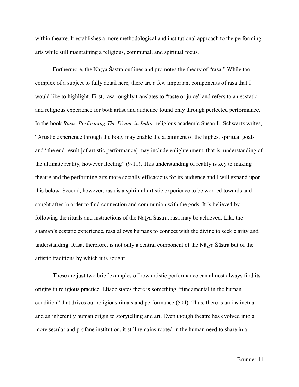within theatre. It establishes a more methodological and institutional approach to the performing arts while still maintaining a religious, communal, and spiritual focus.

Furthermore, the Nāṭya Śāstra outlines and promotes the theory of "rasa." While too complex of a subject to fully detail here, there are a few important components of rasa that I would like to highlight. First, rasa roughly translates to "taste or juice" and refers to an ecstatic and religious experience for both artist and audience found only through perfected performance. In the book *Rasa: Performing The Divine in India,* religious academic Susan L. Schwartz writes, "Artistic experience through the body may enable the attainment of the highest spiritual goals'' and "the end result [of artistic performance] may include enlightenment, that is, understanding of the ultimate reality, however fleeting" (9-11). This understanding of reality is key to making theatre and the performing arts more socially efficacious for its audience and I will expand upon this below. Second, however, rasa is a spiritual-artistic experience to be worked towards and sought after in order to find connection and communion with the gods. It is believed by following the rituals and instructions of the Nāṭya Śāstra, rasa may be achieved. Like the shaman's ecstatic experience, rasa allows humans to connect with the divine to seek clarity and understanding. Rasa, therefore, is not only a central component of the Nāṭya Śāstra but of the artistic traditions by which it is sought.

These are just two brief examples of how artistic performance can almost always find its origins in religious practice. Eliade states there is something "fundamental in the human condition" that drives our religious rituals and performance (504). Thus, there is an instinctual and an inherently human origin to storytelling and art. Even though theatre has evolved into a more secular and profane institution, it still remains rooted in the human need to share in a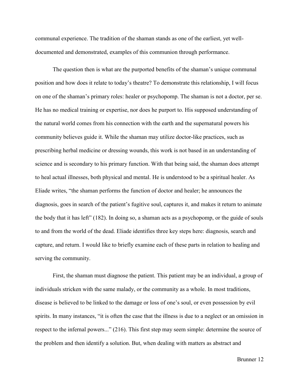communal experience. The tradition of the shaman stands as one of the earliest, yet welldocumented and demonstrated, examples of this communion through performance.

The question then is what are the purported benefits of the shaman's unique communal position and how does it relate to today's theatre? To demonstrate this relationship, I will focus on one of the shaman's primary roles: healer or psychopomp. The shaman is not a doctor, per se. He has no medical training or expertise, nor does he purport to. His supposed understanding of the natural world comes from his connection with the earth and the supernatural powers his community believes guide it. While the shaman may utilize doctor-like practices, such as prescribing herbal medicine or dressing wounds, this work is not based in an understanding of science and is secondary to his primary function. With that being said, the shaman does attempt to heal actual illnesses, both physical and mental. He is understood to be a spiritual healer. As Eliade writes, "the shaman performs the function of doctor and healer; he announces the diagnosis, goes in search of the patient's fugitive soul, captures it, and makes it return to animate the body that it has left" (182). In doing so, a shaman acts as a psychopomp, or the guide of souls to and from the world of the dead. Eliade identifies three key steps here: diagnosis, search and capture, and return. I would like to briefly examine each of these parts in relation to healing and serving the community.

First, the shaman must diagnose the patient. This patient may be an individual, a group of individuals stricken with the same malady, or the community as a whole. In most traditions, disease is believed to be linked to the damage or loss of one's soul, or even possession by evil spirits. In many instances, "it is often the case that the illness is due to a neglect or an omission in respect to the infernal powers..." (216). This first step may seem simple: determine the source of the problem and then identify a solution. But, when dealing with matters as abstract and

Brunner 12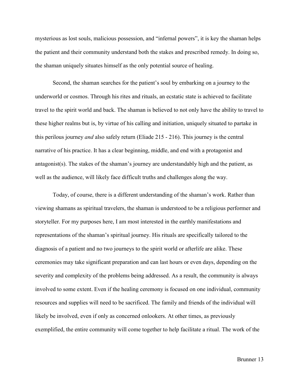mysterious as lost souls, malicious possession, and "infernal powers", it is key the shaman helps the patient and their community understand both the stakes and prescribed remedy. In doing so, the shaman uniquely situates himself as the only potential source of healing.

Second, the shaman searches for the patient's soul by embarking on a journey to the underworld or cosmos. Through his rites and rituals, an ecstatic state is achieved to facilitate travel to the spirit world and back. The shaman is believed to not only have the ability to travel to these higher realms but is, by virtue of his calling and initiation, uniquely situated to partake in this perilous journey *and* also safely return (Eliade 215 - 216). This journey is the central narrative of his practice. It has a clear beginning, middle, and end with a protagonist and antagonist(s). The stakes of the shaman's journey are understandably high and the patient, as well as the audience, will likely face difficult truths and challenges along the way.

Today, of course, there is a different understanding of the shaman's work. Rather than viewing shamans as spiritual travelers, the shaman is understood to be a religious performer and storyteller. For my purposes here, I am most interested in the earthly manifestations and representations of the shaman's spiritual journey. His rituals are specifically tailored to the diagnosis of a patient and no two journeys to the spirit world or afterlife are alike. These ceremonies may take significant preparation and can last hours or even days, depending on the severity and complexity of the problems being addressed. As a result, the community is always involved to some extent. Even if the healing ceremony is focused on one individual, community resources and supplies will need to be sacrificed. The family and friends of the individual will likely be involved, even if only as concerned onlookers. At other times, as previously exemplified, the entire community will come together to help facilitate a ritual. The work of the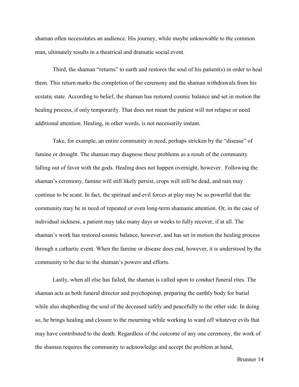shaman often necessitates an audience. His journey, while maybe unknowable to the common man, ultimately results in a theatrical and dramatic social event.

Third, the shaman "returns" to earth and restores the soul of his patient(s) in order to heal them. This return marks the completion of the ceremony and the shaman withdrawals from his ecstatic state. According to belief, the shaman has restored cosmic balance and set in motion the healing process, if only temporarily. That does not mean the patient will not relapse or need additional attention. Healing, in other words, is not necessarily instant.

Take, for example, an entire community in need, perhaps stricken by the "disease" of famine or drought. The shaman may diagnose these problems as a result of the community falling out of favor with the gods. Healing does not happen overnight, however. Following the shaman's ceremony, famine will still likely persist, crops will still be dead, and rain may continue to be scant. In fact, the spiritual and evil forces at play may be so powerful that the community may be in need of repeated or even long-term shamanic attention. Or, in the case of individual sickness, a patient may take many days or weeks to fully recover, if at all. The shaman's work has restored cosmic balance, however, and has set in motion the healing process through a cathartic event. When the famine or disease does end, however, it is understood by the community to be due to the shaman's powers and efforts.

Lastly, when all else has failed, the shaman is called upon to conduct funeral rites. The shaman acts as both funeral director and psychopomp, preparing the earthly body for burial while also shepherding the soul of the deceased safely and peacefully to the other side. In doing so, he brings healing and closure to the mourning while working to ward off whatever evils that may have contributed to the death. Regardless of the outcome of any one ceremony, the work of the shaman requires the community to acknowledge and accept the problem at hand,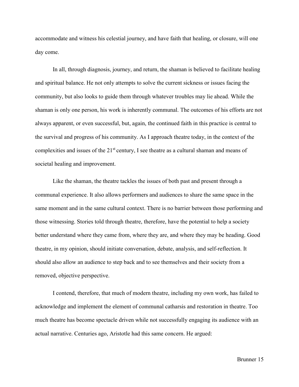accommodate and witness his celestial journey, and have faith that healing, or closure, will one day come.

In all, through diagnosis, journey, and return, the shaman is believed to facilitate healing and spiritual balance. He not only attempts to solve the current sickness or issues facing the community, but also looks to guide them through whatever troubles may lie ahead. While the shaman is only one person, his work is inherently communal. The outcomes of his efforts are not always apparent, or even successful, but, again, the continued faith in this practice is central to the survival and progress of his community. As I approach theatre today, in the context of the complexities and issues of the 21<sup>st</sup> century, I see theatre as a cultural shaman and means of societal healing and improvement.

Like the shaman, the theatre tackles the issues of both past and present through a communal experience. It also allows performers and audiences to share the same space in the same moment and in the same cultural context. There is no barrier between those performing and those witnessing. Stories told through theatre, therefore, have the potential to help a society better understand where they came from, where they are, and where they may be heading. Good theatre, in my opinion, should initiate conversation, debate, analysis, and self-reflection. It should also allow an audience to step back and to see themselves and their society from a removed, objective perspective.

I contend, therefore, that much of modern theatre, including my own work, has failed to acknowledge and implement the element of communal catharsis and restoration in theatre. Too much theatre has become spectacle driven while not successfully engaging its audience with an actual narrative. Centuries ago, Aristotle had this same concern. He argued: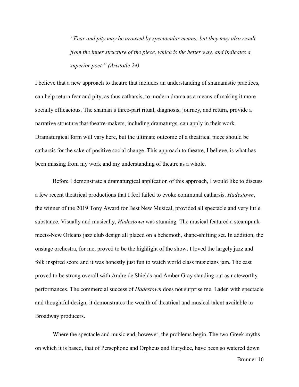*"Fear and pity may be aroused by spectacular means; but they may also result from the inner structure of the piece, which is the better way, and indicates a superior poet." (Aristotle 24)*

I believe that a new approach to theatre that includes an understanding of shamanistic practices, can help return fear and pity, as thus catharsis, to modern drama as a means of making it more socially efficacious. The shaman's three-part ritual, diagnosis, journey, and return, provide a narrative structure that theatre-makers, including dramaturgs, can apply in their work. Dramaturgical form will vary here, but the ultimate outcome of a theatrical piece should be catharsis for the sake of positive social change. This approach to theatre, I believe, is what has been missing from my work and my understanding of theatre as a whole.

Before I demonstrate a dramaturgical application of this approach, I would like to discuss a few recent theatrical productions that I feel failed to evoke communal catharsis. *Hadestown*, the winner of the 2019 Tony Award for Best New Musical, provided all spectacle and very little substance. Visually and musically, *Hadestown* was stunning. The musical featured a steampunkmeets-New Orleans jazz club design all placed on a behemoth, shape-shifting set. In addition, the onstage orchestra, for me, proved to be the highlight of the show. I loved the largely jazz and folk inspired score and it was honestly just fun to watch world class musicians jam. The cast proved to be strong overall with Andre de Shields and Amber Gray standing out as noteworthy performances. The commercial success of *Hadestown* does not surprise me. Laden with spectacle and thoughtful design, it demonstrates the wealth of theatrical and musical talent available to Broadway producers.

Where the spectacle and music end, however, the problems begin. The two Greek myths on which it is based, that of Persephone and Orpheus and Eurydice, have been so watered down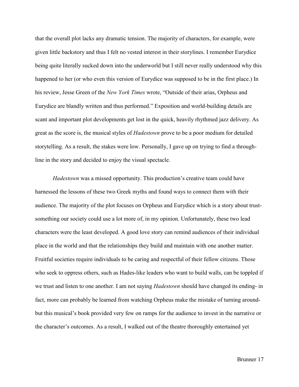that the overall plot lacks any dramatic tension. The majority of characters, for example, were given little backstory and thus I felt no vested interest in their storylines. I remember Eurydice being quite literally sucked down into the underworld but I still never really understood why this happened to her (or who even this version of Eurydice was supposed to be in the first place.) In his review, Jesse Green of the *New York Times* wrote, "Outside of their arias, Orpheus and Eurydice are blandly written and thus performed." Exposition and world-building details are scant and important plot developments get lost in the quick, heavily rhythmed jazz delivery. As great as the score is, the musical styles of *Hadestown* prove to be a poor medium for detailed storytelling. As a result, the stakes were low. Personally, I gave up on trying to find a throughline in the story and decided to enjoy the visual spectacle.

*Hadestown* was a missed opportunity. This production's creative team could have harnessed the lessons of these two Greek myths and found ways to connect them with their audience. The majority of the plot focuses on Orpheus and Eurydice which is a story about trustsomething our society could use a lot more of, in my opinion. Unfortunately, these two lead characters were the least developed. A good love story can remind audiences of their individual place in the world and that the relationships they build and maintain with one another matter. Fruitful societies require individuals to be caring and respectful of their fellow citizens. Those who seek to oppress others, such as Hades-like leaders who want to build walls, can be toppled if we trust and listen to one another. I am not saying *Hadestown* should have changed its ending- in fact, more can probably be learned from watching Orpheus make the mistake of turning aroundbut this musical's book provided very few on ramps for the audience to invest in the narrative or the character's outcomes. As a result, I walked out of the theatre thoroughly entertained yet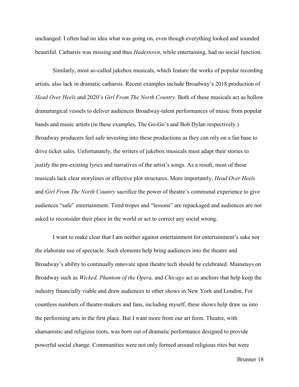unchanged. I often had no idea what was going on, even though everything looked and sounded beautiful. Catharsis was missing and thus *Hadestown*, while entertaining, had no social function.

Similarly, most so-called jukebox musicals, which feature the works of popular recording artists, also lack in dramatic catharsis. Recent examples include Broadway's 2018 production of *Head Over Heels* and 2020's *Girl From The North Country*. Both of these musicals act as hollow dramaturgical vessels to deliver audiences Broadway-talent performances of music from popular bands and music artists (in these examples, The Go-Go's and Bob Dylan respectively.) Broadway producers feel safe investing into these productions as they can rely on a fan base to drive ticket sales. Unfortunately, the writers of jukebox musicals must adapt their stories to justify the pre-existing lyrics and narratives of the artist's songs. As a result, most of these musicals lack clear storylines or effective plot structures. More importantly, *Head Over Heels*  and *Girl From The North Country* sacrifice the power of theatre's communal experience to give audiences "safe" entertainment. Tired tropes and "lessons" are repackaged and audiences are not asked to reconsider their place in the world or act to correct any social wrong.

I want to make clear that I am neither against entertainment for entertainment's sake nor the elaborate use of spectacle. Such elements help bring audiences into the theatre and Broadway's ability to continually innovate upon theatre tech should be celebrated. Mainstays on Broadway such as *Wicked, Phantom of the Opera,* and *Chicago* act as anchors that help keep the industry financially viable and draw audiences to other shows in New York and London. For countless numbers of theatre-makers and fans, including myself, these shows help draw us into the performing arts in the first place. But I want more from our art form. Theatre, with shamanistic and religious roots, was born out of dramatic performance designed to provide powerful social change. Communities were not only formed around religious rites but were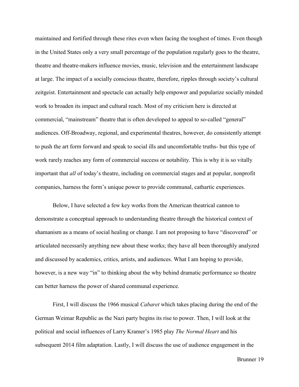maintained and fortified through these rites even when facing the toughest of times. Even though in the United States only a very small percentage of the population regularly goes to the theatre, theatre and theatre-makers influence movies, music, television and the entertainment landscape at large. The impact of a socially conscious theatre, therefore, ripples through society's cultural zeitgeist. Entertainment and spectacle can actually help empower and popularize socially minded work to broaden its impact and cultural reach. Most of my criticism here is directed at commercial, "mainstream" theatre that is often developed to appeal to so-called "general" audiences. Off-Broadway, regional, and experimental theatres, however, do consistently attempt to push the art form forward and speak to social ills and uncomfortable truths- but this type of work rarely reaches any form of commercial success or notability. This is why it is so vitally important that *all* of today's theatre, including on commercial stages and at popular, nonprofit companies, harness the form's unique power to provide communal, cathartic experiences.

Below, I have selected a few key works from the American theatrical cannon to demonstrate a conceptual approach to understanding theatre through the historical context of shamanism as a means of social healing or change. I am not proposing to have "discovered" or articulated necessarily anything new about these works; they have all been thoroughly analyzed and discussed by academics, critics, artists, and audiences. What I am hoping to provide, however, is a new way "in" to thinking about the why behind dramatic performance so theatre can better harness the power of shared communal experience.

First, I will discuss the 1966 musical *Cabaret* which takes placing during the end of the German Weimar Republic as the Nazi party begins its rise to power. Then, I will look at the political and social influences of Larry Kramer's 1985 play *The Normal Heart* and his subsequent 2014 film adaptation. Lastly, I will discuss the use of audience engagement in the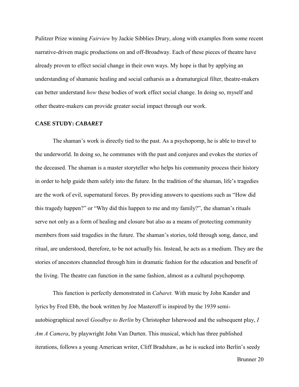Pulitzer Prize winning *Fairview* by Jackie Sibblies Drury, along with examples from some recent narrative-driven magic productions on and off-Broadway. Each of these pieces of theatre have already proven to effect social change in their own ways. My hope is that by applying an understanding of shamanic healing and social catharsis as a dramaturgical filter, theatre-makers can better understand *how* these bodies of work effect social change. In doing so, myself and other theatre-makers can provide greater social impact through our work.

#### **CASE STUDY:** *CABARET*

The shaman's work is directly tied to the past. As a psychopomp, he is able to travel to the underworld. In doing so, he communes with the past and conjures and evokes the stories of the deceased. The shaman is a master storyteller who helps his community process their history in order to help guide them safely into the future. In the tradition of the shaman, life's tragedies are the work of evil, supernatural forces. By providing answers to questions such as "How did this tragedy happen?" or "Why did this happen to me and my family?", the shaman's rituals serve not only as a form of healing and closure but also as a means of protecting community members from said tragedies in the future. The shaman's stories, told through song, dance, and ritual, are understood, therefore, to be not actually his. Instead, he acts as a medium. They are the stories of ancestors channeled through him in dramatic fashion for the education and benefit of the living. The theatre can function in the same fashion, almost as a cultural psychopomp.

This function is perfectly demonstrated in *Cabaret.* With music by John Kander and lyrics by Fred Ebb, the book written by Joe Masteroff is inspired by the 1939 semiautobiographical novel *Goodbye to Berlin* by Christopher Isherwood and the subsequent play, *I Am A Camera*, by playwright John Van Durten. This musical, which has three published iterations, follows a young American writer, Cliff Bradshaw, as he is sucked into Berlin's seedy

Brunner 20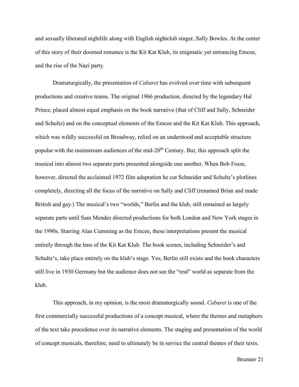and sexually liberated nightlife along with English nightclub singer, Sally Bowles. At the center of this story of their doomed romance is the Kit Kat Klub, its enigmatic yet entrancing Emcee, and the rise of the Nazi party.

Dramaturgically, the presentation of *Cabaret* has evolved over time with subsequent productions and creative teams. The original 1966 production, directed by the legendary Hal Prince, placed almost equal emphasis on the book narrative (that of Cliff and Sally, Schneider and Schultz) and on the conceptual elements of the Emcee and the Kit Kat Klub. This approach, which was wildly successful on Broadway, relied on an understood and acceptable structure popular with the mainstream audiences of the mid-20<sup>th</sup> Century. But, this approach split the musical into almost two separate parts presented alongside one another. When Bob Fosse, however, directed the acclaimed 1972 film adaptation he cut Schneider and Schultz's plotlines completely, directing all the focus of the narrative on Sally and Cliff (renamed Brian and made British and gay.) The musical's two "worlds," Berlin and the klub, still remained as largely separate parts until Sam Mendes directed productions for both London and New York stages in the 1990s. Starring Alan Cumming as the Emcee, these interpretations present the musical entirely through the lens of the Kit Kat Klub. The book scenes, including Schneider's and Schultz's, take place entirely on the klub's stage. Yes, Berlin still exists and the book characters still live in 1930 Germany but the audience does not see the "real" world as separate from the klub.

This approach, in my opinion, is the most dramaturgically sound. *Cabaret* is one of the first commercially successful productions of a concept musical, where the themes and metaphors of the text take precedence over its narrative elements. The staging and presentation of the world of concept musicals, therefore, need to ultimately be in service the central themes of their texts.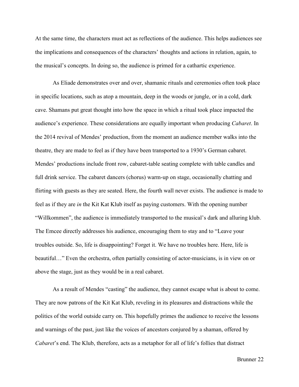At the same time, the characters must act as reflections of the audience. This helps audiences see the implications and consequences of the characters' thoughts and actions in relation, again, to the musical's concepts. In doing so, the audience is primed for a cathartic experience.

As Eliade demonstrates over and over, shamanic rituals and ceremonies often took place in specific locations, such as atop a mountain, deep in the woods or jungle, or in a cold, dark cave. Shamans put great thought into how the space in which a ritual took place impacted the audience's experience. These considerations are equally important when producing *Cabaret*. In the 2014 revival of Mendes' production, from the moment an audience member walks into the theatre, they are made to feel as if they have been transported to a 1930's German cabaret. Mendes' productions include front row, cabaret-table seating complete with table candles and full drink service. The cabaret dancers (chorus) warm-up on stage, occasionally chatting and flirting with guests as they are seated. Here, the fourth wall never exists. The audience is made to feel as if they are *in* the Kit Kat Klub itself as paying customers. With the opening number "Willkommen", the audience is immediately transported to the musical's dark and alluring klub. The Emcee directly addresses his audience, encouraging them to stay and to "Leave your troubles outside. So, life is disappointing? Forget it. We have no troubles here. Here, life is beautiful…" Even the orchestra, often partially consisting of actor-musicians, is in view on or above the stage, just as they would be in a real cabaret.

As a result of Mendes "casting" the audience, they cannot escape what is about to come. They are now patrons of the Kit Kat Klub, reveling in its pleasures and distractions while the politics of the world outside carry on. This hopefully primes the audience to receive the lessons and warnings of the past, just like the voices of ancestors conjured by a shaman, offered by *Cabaret*'s end. The Klub, therefore, acts as a metaphor for all of life's follies that distract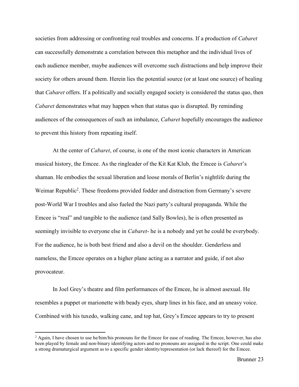societies from addressing or confronting real troubles and concerns. If a production of *Cabaret* can successfully demonstrate a correlation between this metaphor and the individual lives of each audience member, maybe audiences will overcome such distractions and help improve their society for others around them. Herein lies the potential source (or at least one source) of healing that *Cabaret* offers. If a politically and socially engaged society is considered the status quo, then *Cabaret* demonstrates what may happen when that status quo is disrupted. By reminding audiences of the consequences of such an imbalance, *Cabaret* hopefully encourages the audience to prevent this history from repeating itself.

At the center of *Cabaret*, of course, is one of the most iconic characters in American musical history, the Emcee. As the ringleader of the Kit Kat Klub, the Emcee is *Cabaret*'s shaman. He embodies the sexual liberation and loose morals of Berlin's nightlife during the Weimar Republic<sup>2</sup>. These freedoms provided fodder and distraction from Germany's severe post-World War I troubles and also fueled the Nazi party's cultural propaganda. While the Emcee is "real" and tangible to the audience (and Sally Bowles), he is often presented as seemingly invisible to everyone else in *Cabaret*- he is a nobody and yet he could be everybody. For the audience, he is both best friend and also a devil on the shoulder. Genderless and nameless, the Emcee operates on a higher plane acting as a narrator and guide, if not also provocateur.

In Joel Grey's theatre and film performances of the Emcee, he is almost asexual. He resembles a puppet or marionette with beady eyes, sharp lines in his face, and an uneasy voice. Combined with his tuxedo, walking cane, and top hat, Grey's Emcee appears to try to present

 $\overline{\phantom{a}}$ 

 $^2$  Again, I have chosen to use he/him/his pronouns for the Emcee for ease of reading. The Emcee, however, has also been played by female and non-binary identifying actors and no pronouns are assigned in the script. One could make a strong dramaturgical argument as to a specific gender identity/representation (or lack thereof) for the Emcee.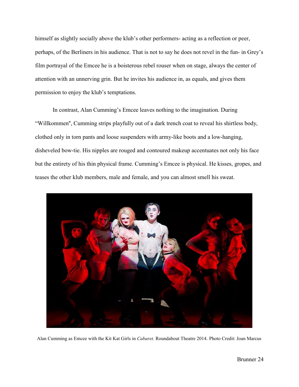himself as slightly socially above the klub's other performers- acting as a reflection or peer, perhaps, of the Berliners in his audience. That is not to say he does not revel in the fun- in Grey's film portrayal of the Emcee he is a boisterous rebel rouser when on stage, always the center of attention with an unnerving grin. But he invites his audience in, as equals, and gives them permission to enjoy the klub's temptations.

In contrast, Alan Cumming's Emcee leaves nothing to the imagination. During "Willkommen'', Cumming strips playfully out of a dark trench coat to reveal his shirtless body, clothed only in torn pants and loose suspenders with army-like boots and a low-hanging, disheveled bow-tie. His nipples are rouged and contoured makeup accentuates not only his face but the entirety of his thin physical frame. Cumming's Emcee is physical. He kisses, gropes, and teases the other klub members, male and female, and you can almost smell his sweat.



Alan Cumming as Emcee with the Kit Kat Girls in *Cabaret.* Roundabout Theatre 2014. Photo Credit: Joan Marcus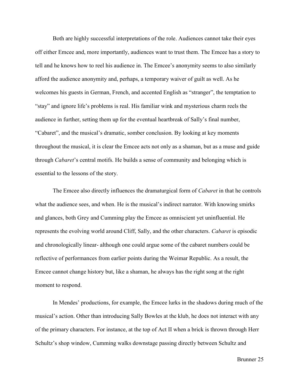Both are highly successful interpretations of the role. Audiences cannot take their eyes off either Emcee and, more importantly, audiences want to trust them. The Emcee has a story to tell and he knows how to reel his audience in. The Emcee's anonymity seems to also similarly afford the audience anonymity and, perhaps, a temporary waiver of guilt as well. As he welcomes his guests in German, French, and accented English as "stranger", the temptation to "stay" and ignore life's problems is real. His familiar wink and mysterious charm reels the audience in further, setting them up for the eventual heartbreak of Sally's final number, "Cabaret", and the musical's dramatic, somber conclusion. By looking at key moments throughout the musical, it is clear the Emcee acts not only as a shaman, but as a muse and guide through *Cabaret*'s central motifs. He builds a sense of community and belonging which is essential to the lessons of the story.

The Emcee also directly influences the dramaturgical form of *Cabaret* in that he controls what the audience sees, and when. He is the musical's indirect narrator. With knowing smirks and glances, both Grey and Cumming play the Emcee as omniscient yet uninfluential. He represents the evolving world around Cliff, Sally, and the other characters. *Cabaret* is episodic and chronologically linear- although one could argue some of the cabaret numbers could be reflective of performances from earlier points during the Weimar Republic. As a result, the Emcee cannot change history but, like a shaman, he always has the right song at the right moment to respond.

In Mendes' productions, for example, the Emcee lurks in the shadows during much of the musical's action. Other than introducing Sally Bowles at the klub, he does not interact with any of the primary characters. For instance, at the top of Act II when a brick is thrown through Herr Schultz's shop window, Cumming walks downstage passing directly between Schultz and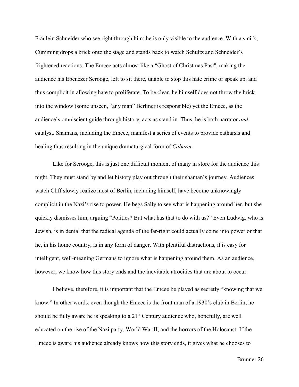Fräulein Schneider who see right through him; he is only visible to the audience. With a smirk, Cumming drops a brick onto the stage and stands back to watch Schultz and Schneider's frightened reactions. The Emcee acts almost like a "Ghost of Christmas Past'', making the audience his Ebenezer Scrooge, left to sit there, unable to stop this hate crime or speak up, and thus complicit in allowing hate to proliferate. To be clear, he himself does not throw the brick into the window (some unseen, "any man" Berliner is responsible) yet the Emcee, as the audience's omniscient guide through history, acts as stand in. Thus, he is both narrator *and*  catalyst. Shamans, including the Emcee, manifest a series of events to provide catharsis and healing thus resulting in the unique dramaturgical form of *Cabaret.*

Like for Scrooge, this is just one difficult moment of many in store for the audience this night. They must stand by and let history play out through their shaman's journey. Audiences watch Cliff slowly realize most of Berlin, including himself, have become unknowingly complicit in the Nazi's rise to power. He begs Sally to see what is happening around her, but she quickly dismisses him, arguing "Politics? But what has that to do with us?" Even Ludwig, who is Jewish, is in denial that the radical agenda of the far-right could actually come into power or that he, in his home country, is in any form of danger. With plentiful distractions, it is easy for intelligent, well-meaning Germans to ignore what is happening around them. As an audience, however, we know how this story ends and the inevitable atrocities that are about to occur.

I believe, therefore, it is important that the Emcee be played as secretly "knowing that we know." In other words, even though the Emcee is the front man of a 1930's club in Berlin, he should be fully aware he is speaking to a  $21<sup>st</sup>$  Century audience who, hopefully, are well educated on the rise of the Nazi party, World War II, and the horrors of the Holocaust. If the Emcee is aware his audience already knows how this story ends, it gives what he chooses to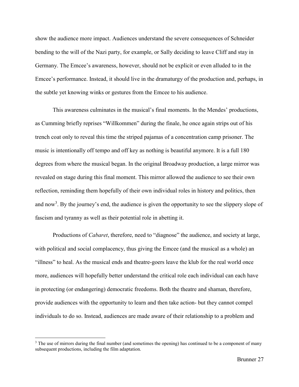show the audience more impact. Audiences understand the severe consequences of Schneider bending to the will of the Nazi party, for example, or Sally deciding to leave Cliff and stay in Germany. The Emcee's awareness, however, should not be explicit or even alluded to in the Emcee's performance. Instead, it should live in the dramaturgy of the production and, perhaps, in the subtle yet knowing winks or gestures from the Emcee to his audience.

This awareness culminates in the musical's final moments. In the Mendes' productions, as Cumming briefly reprises "Willkommen" during the finale, he once again strips out of his trench coat only to reveal this time the striped pajamas of a concentration camp prisoner. The music is intentionally off tempo and off key as nothing is beautiful anymore. It is a full 180 degrees from where the musical began. In the original Broadway production, a large mirror was revealed on stage during this final moment. This mirror allowed the audience to see their own reflection, reminding them hopefully of their own individual roles in history and politics, then and now<sup>3</sup>. By the journey's end, the audience is given the opportunity to see the slippery slope of fascism and tyranny as well as their potential role in abetting it.

Productions of *Cabaret*, therefore, need to "diagnose" the audience, and society at large, with political and social complacency, thus giving the Emcee (and the musical as a whole) an "illness" to heal. As the musical ends and theatre-goers leave the klub for the real world once more, audiences will hopefully better understand the critical role each individual can each have in protecting (or endangering) democratic freedoms. Both the theatre and shaman, therefore, provide audiences with the opportunity to learn and then take action- but they cannot compel individuals to do so. Instead, audiences are made aware of their relationship to a problem and

 $\overline{\phantom{a}}$ 

 $3$  The use of mirrors during the final number (and sometimes the opening) has continued to be a component of many subsequent productions, including the film adaptation.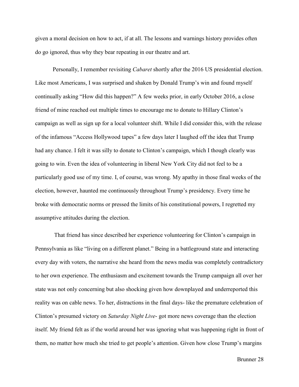given a moral decision on how to act, if at all. The lessons and warnings history provides often do go ignored, thus why they bear repeating in our theatre and art.

Personally, I remember revisiting *Cabaret* shortly after the 2016 US presidential election. Like most Americans, I was surprised and shaken by Donald Trump's win and found myself continually asking "How did this happen?" A few weeks prior, in early October 2016, a close friend of mine reached out multiple times to encourage me to donate to Hillary Clinton's campaign as well as sign up for a local volunteer shift. While I did consider this, with the release of the infamous "Access Hollywood tapes" a few days later I laughed off the idea that Trump had any chance. I felt it was silly to donate to Clinton's campaign, which I though clearly was going to win. Even the idea of volunteering in liberal New York City did not feel to be a particularly good use of my time. I, of course, was wrong. My apathy in those final weeks of the election, however, haunted me continuously throughout Trump's presidency. Every time he broke with democratic norms or pressed the limits of his constitutional powers, I regretted my assumptive attitudes during the election.

That friend has since described her experience volunteering for Clinton's campaign in Pennsylvania as like "living on a different planet." Being in a battleground state and interacting every day with voters, the narrative she heard from the news media was completely contradictory to her own experience. The enthusiasm and excitement towards the Trump campaign all over her state was not only concerning but also shocking given how downplayed and underreported this reality was on cable news. To her, distractions in the final days- like the premature celebration of Clinton's presumed victory on *Saturday Night Live*- got more news coverage than the election itself. My friend felt as if the world around her was ignoring what was happening right in front of them, no matter how much she tried to get people's attention. Given how close Trump's margins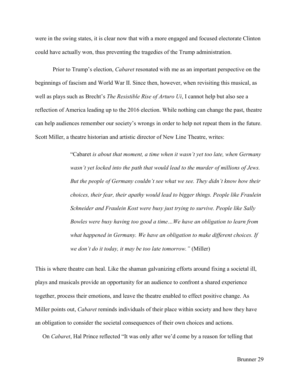were in the swing states, it is clear now that with a more engaged and focused electorate Clinton could have actually won, thus preventing the tragedies of the Trump administration.

Prior to Trump's election, *Cabaret* resonated with me as an important perspective on the beginnings of fascism and World War II. Since then, however, when revisiting this musical, as well as plays such as Brecht's *The Resistible Rise of Arturo Ui*, I cannot help but also see a reflection of America leading up to the 2016 election. While nothing can change the past, theatre can help audiences remember our society's wrongs in order to help not repeat them in the future. Scott Miller, a theatre historian and artistic director of New Line Theatre, writes:

> "Cabaret *is about that moment, a time when it wasn't yet too late, when Germany wasn't yet locked into the path that would lead to the murder of millions of Jews. But the people of Germany couldn't see what we see. They didn't know how their choices, their fear, their apathy would lead to bigger things. People like Fraulein Schneider and Fraulein Kost were busy just trying to survive. People like Sally Bowles were busy having too good a time…We have an obligation to learn from what happened in Germany. We have an obligation to make different choices. If we don't do it today, it may be too late tomorrow."* (Miller)

This is where theatre can heal. Like the shaman galvanizing efforts around fixing a societal ill, plays and musicals provide an opportunity for an audience to confront a shared experience together, process their emotions, and leave the theatre enabled to effect positive change. As Miller points out, *Cabaret* reminds individuals of their place within society and how they have an obligation to consider the societal consequences of their own choices and actions.

On *Cabaret*, Hal Prince reflected "It was only after we'd come by a reason for telling that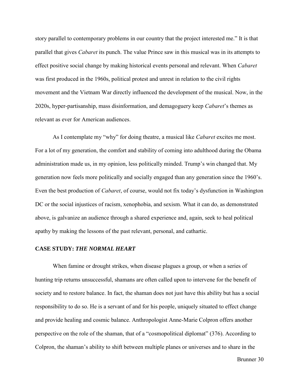story parallel to contemporary problems in our country that the project interested me." It is that parallel that gives *Cabaret* its punch. The value Prince saw in this musical was in its attempts to effect positive social change by making historical events personal and relevant. When *Cabaret* was first produced in the 1960s, political protest and unrest in relation to the civil rights movement and the Vietnam War directly influenced the development of the musical. Now, in the 2020s, hyper-partisanship, mass disinformation, and demagoguery keep *Cabaret*'s themes as relevant as ever for American audiences.

As I contemplate my "why" for doing theatre, a musical like *Cabaret* excites me most. For a lot of my generation, the comfort and stability of coming into adulthood during the Obama administration made us, in my opinion, less politically minded. Trump's win changed that. My generation now feels more politically and socially engaged than any generation since the 1960's. Even the best production of *Cabaret*, of course, would not fix today's dysfunction in Washington DC or the social injustices of racism, xenophobia, and sexism. What it can do, as demonstrated above, is galvanize an audience through a shared experience and, again, seek to heal political apathy by making the lessons of the past relevant, personal, and cathartic.

#### **CASE STUDY:** *THE NORMAL HEART*

When famine or drought strikes, when disease plagues a group, or when a series of hunting trip returns unsuccessful, shamans are often called upon to intervene for the benefit of society and to restore balance. In fact, the shaman does not just have this ability but has a social responsibility to do so. He is a servant of and for his people, uniquely situated to effect change and provide healing and cosmic balance. Anthropologist Anne-Marie Colpron offers another perspective on the role of the shaman, that of a "cosmopolitical diplomat" (376). According to Colpron, the shaman's ability to shift between multiple planes or universes and to share in the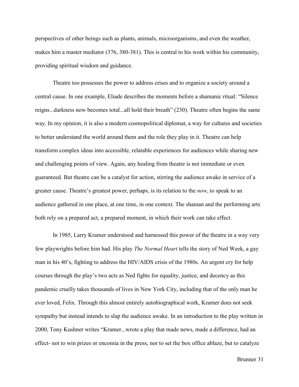perspectives of other beings such as plants, animals, microorganisms, and even the weather, makes him a master mediator (376, 380-381). This is central to his work within his community, providing spiritual wisdom and guidance.

Theatre too possesses the power to address crises and to organize a society around a central cause. In one example, Eliade describes the moments before a shamanic ritual: "Silence reigns...darkness now becomes total...all hold their breath" (230). Theatre often begins the same way. In my opinion, it is also a modern cosmopolitical diplomat, a way for cultures and societies to better understand the world around them and the role they play in it. Theatre can help transform complex ideas into accessible, relatable experiences for audiences while sharing new and challenging points of view. Again, any healing from theatre is not immediate or even guaranteed. But theatre can be a catalyst for action, stirring the audience awake in service of a greater cause. Theatre's greatest power, perhaps, is its relation to the *now*, to speak to an audience gathered in one place, at one time, in one context. The shaman and the performing arts both rely on a prepared act, a prepared moment, in which their work can take effect.

In 1985, Larry Kramer understood and harnessed this power of the theatre in a way very few playwrights before him had. His play *The Normal Heart* tells the story of Ned Week, a gay man in his 40's, fighting to address the HIV/AIDS crisis of the 1980s. An urgent cry for help courses through the play's two acts as Ned fights for equality, justice, and decency as this pandemic cruelly takes thousands of lives in New York City, including that of the only man he ever loved, Felix. Through this almost entirely autobiographical work, Kramer does not seek sympathy but instead intends to slap the audience awake. In an introduction to the play written in 2000, Tony Kushner writes "Kramer...wrote a play that made news, made a difference, had an effect- not to win prizes or encomia in the press, nor to set the box office ablaze, but to catalyze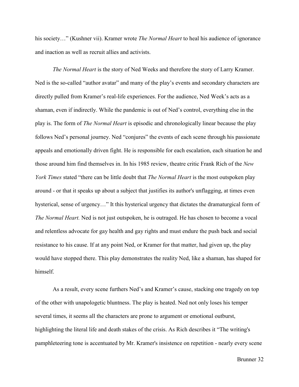his society…" (Kushner vii). Kramer wrote *The Normal Heart* to heal his audience of ignorance and inaction as well as recruit allies and activists.

*The Normal Heart* is the story of Ned Weeks and therefore the story of Larry Kramer. Ned is the so-called "author avatar" and many of the play's events and secondary characters are directly pulled from Kramer's real-life experiences. For the audience, Ned Week's acts as a shaman, even if indirectly. While the pandemic is out of Ned's control, everything else in the play is. The form of *The Normal Heart* is episodic and chronologically linear because the play follows Ned's personal journey. Ned "conjures" the events of each scene through his passionate appeals and emotionally driven fight. He is responsible for each escalation, each situation he and those around him find themselves in. In his 1985 review, theatre critic Frank Rich of the *New York Times* stated "there can be little doubt that *The Normal Heart* is the most outspoken play around - or that it speaks up about a subject that justifies its author's unflagging, at times even hysterical, sense of urgency..." It this hysterical urgency that dictates the dramaturgical form of *The Normal Heart.* Ned is not just outspoken, he is outraged. He has chosen to become a vocal and relentless advocate for gay health and gay rights and must endure the push back and social resistance to his cause. If at any point Ned, or Kramer for that matter, had given up, the play would have stopped there. This play demonstrates the reality Ned, like a shaman, has shaped for himself.

As a result, every scene furthers Ned's and Kramer's cause, stacking one tragedy on top of the other with unapologetic bluntness. The play is heated. Ned not only loses his temper several times, it seems all the characters are prone to argument or emotional outburst, highlighting the literal life and death stakes of the crisis. As Rich describes it "The writing's pamphleteering tone is accentuated by Mr. Kramer's insistence on repetition - nearly every scene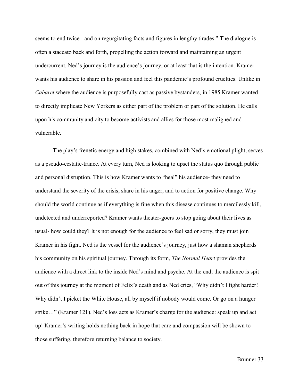seems to end twice - and on regurgitating facts and figures in lengthy tirades." The dialogue is often a staccato back and forth, propelling the action forward and maintaining an urgent undercurrent. Ned's journey is the audience's journey, or at least that is the intention. Kramer wants his audience to share in his passion and feel this pandemic's profound cruelties. Unlike in *Cabaret* where the audience is purposefully cast as passive bystanders, in 1985 Kramer wanted to directly implicate New Yorkers as either part of the problem or part of the solution. He calls upon his community and city to become activists and allies for those most maligned and vulnerable.

The play's frenetic energy and high stakes, combined with Ned's emotional plight, serves as a pseudo-ecstatic-trance. At every turn, Ned is looking to upset the status quo through public and personal disruption. This is how Kramer wants to "heal" his audience- they need to understand the severity of the crisis, share in his anger, and to action for positive change. Why should the world continue as if everything is fine when this disease continues to mercilessly kill, undetected and underreported? Kramer wants theater-goers to stop going about their lives as usual- how could they? It is not enough for the audience to feel sad or sorry, they must join Kramer in his fight. Ned is the vessel for the audience's journey, just how a shaman shepherds his community on his spiritual journey. Through its form, *The Normal Heart* provides the audience with a direct link to the inside Ned's mind and psyche. At the end, the audience is spit out of this journey at the moment of Felix's death and as Ned cries, "Why didn't I fight harder! Why didn't I picket the White House, all by myself if nobody would come. Or go on a hunger strike…" (Kramer 121). Ned's loss acts as Kramer's charge for the audience: speak up and act up! Kramer's writing holds nothing back in hope that care and compassion will be shown to those suffering, therefore returning balance to society.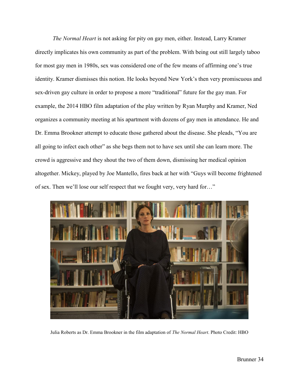*The Normal Heart* is not asking for pity on gay men, either. Instead, Larry Kramer directly implicates his own community as part of the problem. With being out still largely taboo for most gay men in 1980s, sex was considered one of the few means of affirming one's true identity. Kramer dismisses this notion. He looks beyond New York's then very promiscuous and sex-driven gay culture in order to propose a more "traditional" future for the gay man. For example, the 2014 HBO film adaptation of the play written by Ryan Murphy and Kramer, Ned organizes a community meeting at his apartment with dozens of gay men in attendance. He and Dr. Emma Brookner attempt to educate those gathered about the disease. She pleads, "You are all going to infect each other" as she begs them not to have sex until she can learn more. The crowd is aggressive and they shout the two of them down, dismissing her medical opinion altogether. Mickey, played by Joe Mantello, fires back at her with "Guys will become frightened of sex. Then we'll lose our self respect that we fought very, very hard for…"



Julia Roberts as Dr. Emma Brookner in the film adaptation of *The Normal Heart*. Photo Credit: HBO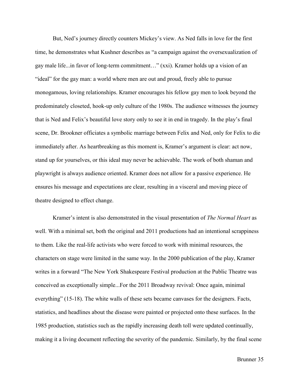But, Ned's journey directly counters Mickey's view. As Ned falls in love for the first time, he demonstrates what Kushner describes as "a campaign against the oversexualization of gay male life...in favor of long-term commitment…" (xxi). Kramer holds up a vision of an "ideal" for the gay man: a world where men are out and proud, freely able to pursue monogamous, loving relationships. Kramer encourages his fellow gay men to look beyond the predominately closeted, hook-up only culture of the 1980s. The audience witnesses the journey that is Ned and Felix's beautiful love story only to see it in end in tragedy. In the play's final scene, Dr. Brookner officiates a symbolic marriage between Felix and Ned, only for Felix to die immediately after. As heartbreaking as this moment is, Kramer's argument is clear: act now, stand up for yourselves, or this ideal may never be achievable. The work of both shaman and playwright is always audience oriented. Kramer does not allow for a passive experience. He ensures his message and expectations are clear, resulting in a visceral and moving piece of theatre designed to effect change.

Kramer's intent is also demonstrated in the visual presentation of *The Normal Heart* as well. With a minimal set, both the original and 2011 productions had an intentional scrappiness to them. Like the real-life activists who were forced to work with minimal resources, the characters on stage were limited in the same way. In the 2000 publication of the play, Kramer writes in a forward "The New York Shakespeare Festival production at the Public Theatre was conceived as exceptionally simple...For the 2011 Broadway revival: Once again, minimal everything" (15-18). The white walls of these sets became canvases for the designers. Facts, statistics, and headlines about the disease were painted or projected onto these surfaces. In the 1985 production, statistics such as the rapidly increasing death toll were updated continually, making it a living document reflecting the severity of the pandemic. Similarly, by the final scene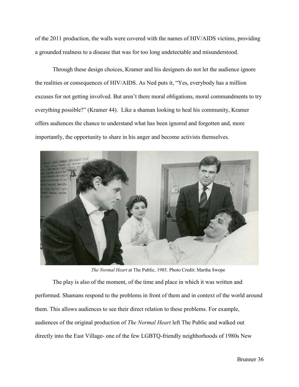of the 2011 production, the walls were covered with the names of HIV/AIDS victims, providing a grounded realness to a disease that was for too long undetectable and misunderstood.

Through these design choices, Kramer and his designers do not let the audience ignore the realities or consequences of HIV/AIDS. As Ned puts it, "Yes, everybody has a million excuses for not getting involved. But aren't there moral obligations, moral commandments to try everything possible?" (Kramer 44). Like a shaman looking to heal his community, Kramer offers audiences the chance to understand what has been ignored and forgotten and, more importantly, the opportunity to share in his anger and become activists themselves.



*The Normal Heart* at The Public, 1985. Photo Credit: Martha Swope

The play is also of the moment, of the time and place in which it was written and performed. Shamans respond to the problems in front of them and in context of the world around them. This allows audiences to see their direct relation to these problems. For example, audiences of the original production of *The Normal Heart* left The Public and walked out directly into the East Village- one of the few LGBTQ-friendly neighborhoods of 1980s New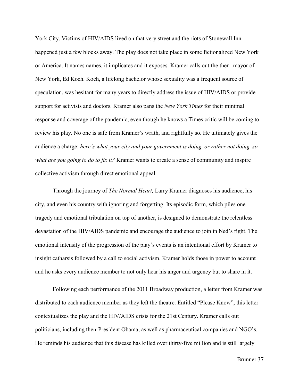York City. Victims of HIV/AIDS lived on that very street and the riots of Stonewall Inn happened just a few blocks away. The play does not take place in some fictionalized New York or America. It names names, it implicates and it exposes. Kramer calls out the then- mayor of New York, Ed Koch. Koch, a lifelong bachelor whose sexuality was a frequent source of speculation, was hesitant for many years to directly address the issue of HIV/AIDS or provide support for activists and doctors. Kramer also pans the *New York Times* for their minimal response and coverage of the pandemic, even though he knows a Times critic will be coming to review his play. No one is safe from Kramer's wrath, and rightfully so. He ultimately gives the audience a charge: *here's what your city and your government is doing, or rather not doing, so what are you going to do to fix it?* Kramer wants to create a sense of community and inspire collective activism through direct emotional appeal.

Through the journey of *The Normal Heart,* Larry Kramer diagnoses his audience, his city, and even his country with ignoring and forgetting. Its episodic form, which piles one tragedy and emotional tribulation on top of another, is designed to demonstrate the relentless devastation of the HIV/AIDS pandemic and encourage the audience to join in Ned's fight. The emotional intensity of the progression of the play's events is an intentional effort by Kramer to insight catharsis followed by a call to social activism. Kramer holds those in power to account and he asks every audience member to not only hear his anger and urgency but to share in it.

Following each performance of the 2011 Broadway production, a letter from Kramer was distributed to each audience member as they left the theatre. Entitled "Please Know", this letter contextualizes the play and the HIV/AIDS crisis for the 21st Century. Kramer calls out politicians, including then-President Obama, as well as pharmaceutical companies and NGO's. He reminds his audience that this disease has killed over thirty-five million and is still largely

Brunner 37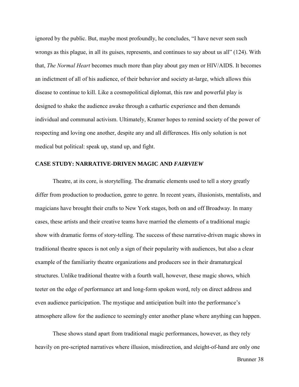ignored by the public. But, maybe most profoundly, he concludes, "I have never seen such wrongs as this plague, in all its guises, represents, and continues to say about us all" (124). With that, *The Normal Heart* becomes much more than play about gay men or HIV/AIDS. It becomes an indictment of all of his audience, of their behavior and society at-large, which allows this disease to continue to kill. Like a cosmopolitical diplomat, this raw and powerful play is designed to shake the audience awake through a cathartic experience and then demands individual and communal activism. Ultimately, Kramer hopes to remind society of the power of respecting and loving one another, despite any and all differences. His only solution is not medical but political: speak up, stand up, and fight.

#### **CASE STUDY: NARRATIVE-DRIVEN MAGIC AND** *FAIRVIEW*

Theatre, at its core, is storytelling. The dramatic elements used to tell a story greatly differ from production to production, genre to genre. In recent years, illusionists, mentalists, and magicians have brought their crafts to New York stages, both on and off Broadway. In many cases, these artists and their creative teams have married the elements of a traditional magic show with dramatic forms of story-telling. The success of these narrative-driven magic shows in traditional theatre spaces is not only a sign of their popularity with audiences, but also a clear example of the familiarity theatre organizations and producers see in their dramaturgical structures. Unlike traditional theatre with a fourth wall, however, these magic shows, which teeter on the edge of performance art and long-form spoken word, rely on direct address and even audience participation. The mystique and anticipation built into the performance's atmosphere allow for the audience to seemingly enter another plane where anything can happen.

These shows stand apart from traditional magic performances, however, as they rely heavily on pre-scripted narratives where illusion, misdirection, and sleight-of-hand are only one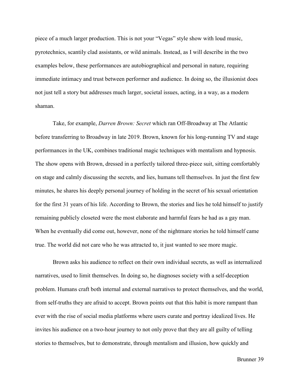piece of a much larger production. This is not your "Vegas" style show with loud music, pyrotechnics, scantily clad assistants, or wild animals. Instead, as I will describe in the two examples below, these performances are autobiographical and personal in nature, requiring immediate intimacy and trust between performer and audience. In doing so, the illusionist does not just tell a story but addresses much larger, societal issues, acting, in a way, as a modern shaman.

Take, for example, *Darren Brown: Secret* which ran Off-Broadway at The Atlantic before transferring to Broadway in late 2019. Brown, known for his long-running TV and stage performances in the UK, combines traditional magic techniques with mentalism and hypnosis. The show opens with Brown, dressed in a perfectly tailored three-piece suit, sitting comfortably on stage and calmly discussing the secrets, and lies, humans tell themselves. In just the first few minutes, he shares his deeply personal journey of holding in the secret of his sexual orientation for the first 31 years of his life. According to Brown, the stories and lies he told himself to justify remaining publicly closeted were the most elaborate and harmful fears he had as a gay man. When he eventually did come out, however, none of the nightmare stories he told himself came true. The world did not care who he was attracted to, it just wanted to see more magic.

Brown asks his audience to reflect on their own individual secrets, as well as internalized narratives, used to limit themselves. In doing so, he diagnoses society with a self-deception problem. Humans craft both internal and external narratives to protect themselves, and the world, from self-truths they are afraid to accept. Brown points out that this habit is more rampant than ever with the rise of social media platforms where users curate and portray idealized lives. He invites his audience on a two-hour journey to not only prove that they are all guilty of telling stories to themselves, but to demonstrate, through mentalism and illusion, how quickly and

Brunner 39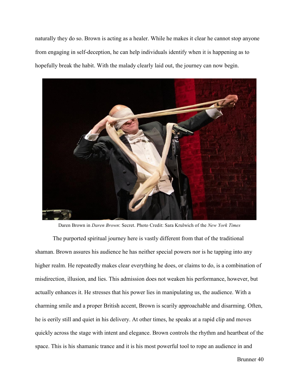naturally they do so. Brown is acting as a healer. While he makes it clear he cannot stop anyone from engaging in self-deception, he can help individuals identify when it is happening as to hopefully break the habit. With the malady clearly laid out, the journey can now begin.



Daren Brown in *Daren Brown*: Secret. Photo Credit: Sara Krulwich of the *New York Times*

The purported spiritual journey here is vastly different from that of the traditional shaman. Brown assures his audience he has neither special powers nor is he tapping into any higher realm. He repeatedly makes clear everything he does, or claims to do, is a combination of misdirection, illusion, and lies. This admission does not weaken his performance, however, but actually enhances it. He stresses that his power lies in manipulating us, the audience. With a charming smile and a proper British accent, Brown is scarily approachable and disarming. Often, he is eerily still and quiet in his delivery. At other times, he speaks at a rapid clip and moves quickly across the stage with intent and elegance. Brown controls the rhythm and heartbeat of the space. This is his shamanic trance and it is his most powerful tool to rope an audience in and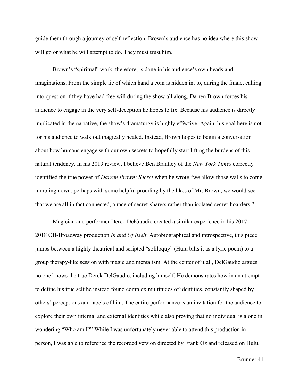guide them through a journey of self-reflection. Brown's audience has no idea where this show will go or what he will attempt to do. They must trust him.

Brown's "spiritual" work, therefore, is done in his audience's own heads and imaginations. From the simple lie of which hand a coin is hidden in, to, during the finale, calling into question if they have had free will during the show all along, Darren Brown forces his audience to engage in the very self-deception he hopes to fix. Because his audience is directly implicated in the narrative, the show's dramaturgy is highly effective. Again, his goal here is not for his audience to walk out magically healed. Instead, Brown hopes to begin a conversation about how humans engage with our own secrets to hopefully start lifting the burdens of this natural tendency. In his 2019 review, I believe Ben Brantley of the *New York Times* correctly identified the true power of *Darren Brown: Secret* when he wrote "we allow those walls to come tumbling down, perhaps with some helpful prodding by the likes of Mr. Brown, we would see that we are all in fact connected, a race of secret-sharers rather than isolated secret-hoarders."

Magician and performer Derek DelGaudio created a similar experience in his 2017 - 2018 Off-Broadway production *In and Of Itself*. Autobiographical and introspective, this piece jumps between a highly theatrical and scripted "soliloquy" (Hulu bills it as a lyric poem) to a group therapy-like session with magic and mentalism. At the center of it all, DelGaudio argues no one knows the true Derek DelGaudio, including himself. He demonstrates how in an attempt to define his true self he instead found complex multitudes of identities, constantly shaped by others' perceptions and labels of him. The entire performance is an invitation for the audience to explore their own internal and external identities while also proving that no individual is alone in wondering "Who am I?" While I was unfortunately never able to attend this production in person, I was able to reference the recorded version directed by Frank Oz and released on Hulu.

Brunner 41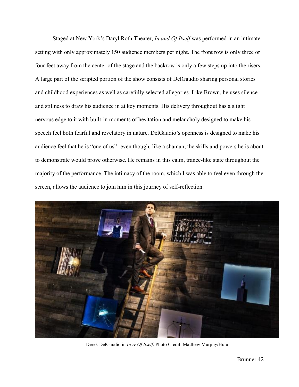Staged at New York's Daryl Roth Theater, *In and Of Itself* was performed in an intimate setting with only approximately 150 audience members per night. The front row is only three or four feet away from the center of the stage and the backrow is only a few steps up into the risers. A large part of the scripted portion of the show consists of DelGaudio sharing personal stories and childhood experiences as well as carefully selected allegories. Like Brown, he uses silence and stillness to draw his audience in at key moments. His delivery throughout has a slight nervous edge to it with built-in moments of hesitation and melancholy designed to make his speech feel both fearful and revelatory in nature. DelGaudio's openness is designed to make his audience feel that he is "one of us"- even though, like a shaman, the skills and powers he is about to demonstrate would prove otherwise. He remains in this calm, trance-like state throughout the majority of the performance. The intimacy of the room, which I was able to feel even through the screen, allows the audience to join him in this journey of self-reflection.



Derek DelGaudio in *In & Of Itself*. Photo Credit: Matthew Murphy/Hulu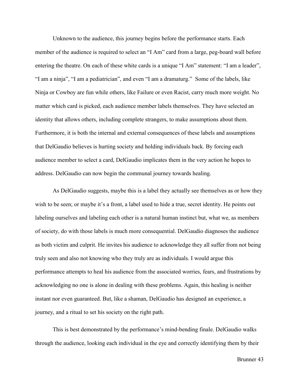Unknown to the audience, this journey begins before the performance starts. Each member of the audience is required to select an "I Am" card from a large, peg-board wall before entering the theatre. On each of these white cards is a unique "I Am" statement: "I am a leader", "I am a ninja", "I am a pediatrician", and even "I am a dramaturg." Some of the labels, like Ninja or Cowboy are fun while others, like Failure or even Racist, carry much more weight. No matter which card is picked, each audience member labels themselves. They have selected an identity that allows others, including complete strangers, to make assumptions about them. Furthermore, it is both the internal and external consequences of these labels and assumptions that DelGaudio believes is hurting society and holding individuals back. By forcing each audience member to select a card, DelGaudio implicates them in the very action he hopes to address. DelGaudio can now begin the communal journey towards healing.

As DelGaudio suggests, maybe this is a label they actually see themselves as or how they wish to be seen; or maybe it's a front, a label used to hide a true, secret identity. He points out labeling ourselves and labeling each other is a natural human instinct but, what we, as members of society, do with those labels is much more consequential. DelGaudio diagnoses the audience as both victim and culprit. He invites his audience to acknowledge they all suffer from not being truly seen and also not knowing who they truly are as individuals. I would argue this performance attempts to heal his audience from the associated worries, fears, and frustrations by acknowledging no one is alone in dealing with these problems. Again, this healing is neither instant nor even guaranteed. But, like a shaman, DelGaudio has designed an experience, a journey, and a ritual to set his society on the right path.

This is best demonstrated by the performance's mind-bending finale. DelGaudio walks through the audience, looking each individual in the eye and correctly identifying them by their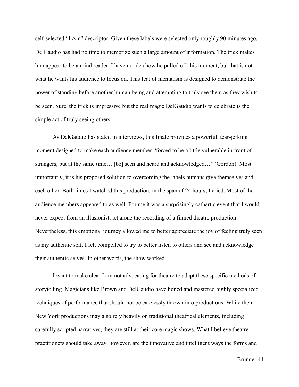self-selected "I Am" descriptor. Given these labels were selected only roughly 90 minutes ago, DelGaudio has had no time to memorize such a large amount of information. The trick makes him appear to be a mind reader. I have no idea how he pulled off this moment, but that is not what he wants his audience to focus on. This feat of mentalism is designed to demonstrate the power of standing before another human being and attempting to truly see them as they wish to be seen. Sure, the trick is impressive but the real magic DelGaudio wants to celebrate is the simple act of truly seeing others.

As DelGaudio has stated in interviews, this finale provides a powerful, tear-jerking moment designed to make each audience member "forced to be a little vulnerable in front of strangers, but at the same time… [be] seen and heard and acknowledged…" (Gordon). Most importantly, it is his proposed solution to overcoming the labels humans give themselves and each other. Both times I watched this production, in the span of 24 hours, I cried. Most of the audience members appeared to as well. For me it was a surprisingly cathartic event that I would never expect from an illusionist, let alone the recording of a filmed theatre production. Nevertheless, this emotional journey allowed me to better appreciate the joy of feeling truly seen as my authentic self. I felt compelled to try to better listen to others and see and acknowledge their authentic selves. In other words, the show worked.

I want to make clear I am not advocating for theatre to adapt these specific methods of storytelling. Magicians like Brown and DelGaudio have honed and mastered highly specialized techniques of performance that should not be carelessly thrown into productions. While their New York productions may also rely heavily on traditional theatrical elements, including carefully scripted narratives, they are still at their core magic shows. What I believe theatre practitioners should take away, however, are the innovative and intelligent ways the forms and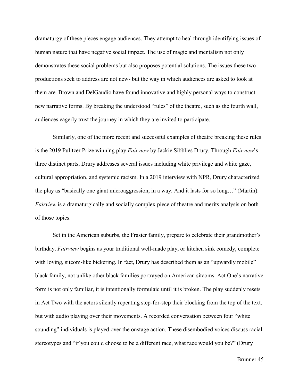dramaturgy of these pieces engage audiences. They attempt to heal through identifying issues of human nature that have negative social impact. The use of magic and mentalism not only demonstrates these social problems but also proposes potential solutions. The issues these two productions seek to address are not new- but the way in which audiences are asked to look at them are. Brown and DelGaudio have found innovative and highly personal ways to construct new narrative forms. By breaking the understood "rules" of the theatre, such as the fourth wall, audiences eagerly trust the journey in which they are invited to participate.

Similarly, one of the more recent and successful examples of theatre breaking these rules is the 2019 Pulitzer Prize winning play *Fairview* by Jackie Sibblies Drury. Through *Fairview*'s three distinct parts, Drury addresses several issues including white privilege and white gaze, cultural appropriation, and systemic racism. In a 2019 interview with NPR, Drury characterized the play as "basically one giant microaggression, in a way. And it lasts for so long…" (Martin). *Fairview* is a dramaturgically and socially complex piece of theatre and merits analysis on both of those topics.

Set in the American suburbs, the Frasier family, prepare to celebrate their grandmother's birthday. *Fairview* begins as your traditional well-made play, or kitchen sink comedy, complete with loving, sitcom-like bickering. In fact, Drury has described them as an "upwardly mobile" black family, not unlike other black families portrayed on American sitcoms. Act One's narrative form is not only familiar, it is intentionally formulaic until it is broken. The play suddenly resets in Act Two with the actors silently repeating step-for-step their blocking from the top of the text, but with audio playing over their movements. A recorded conversation between four "white sounding" individuals is played over the onstage action. These disembodied voices discuss racial stereotypes and "if you could choose to be a different race, what race would you be?" (Drury

Brunner 45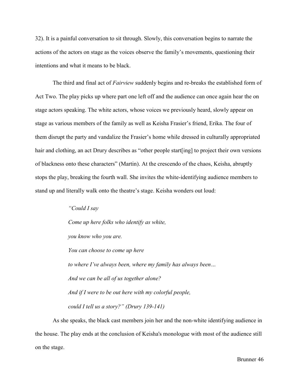32). It is a painful conversation to sit through. Slowly, this conversation begins to narrate the actions of the actors on stage as the voices observe the family's movements, questioning their intentions and what it means to be black.

The third and final act of *Fairview* suddenly begins and re-breaks the established form of Act Two. The play picks up where part one left off and the audience can once again hear the on stage actors speaking. The white actors, whose voices we previously heard, slowly appear on stage as various members of the family as well as Keisha Frasier's friend, Erika. The four of them disrupt the party and vandalize the Frasier's home while dressed in culturally appropriated hair and clothing, an act Drury describes as "other people start[ing] to project their own versions of blackness onto these characters" (Martin). At the crescendo of the chaos, Keisha, abruptly stops the play, breaking the fourth wall. She invites the white-identifying audience members to stand up and literally walk onto the theatre's stage. Keisha wonders out loud:

> *"Could I say Come up here folks who identify as white, you know who you are. You can choose to come up here to where I've always been, where my family has always been… And we can be all of us together alone? And if I were to be out here with my colorful people, could I tell us a story?" (Drury 139-141)*

As she speaks, the black cast members join her and the non-white identifying audience in the house. The play ends at the conclusion of Keisha's monologue with most of the audience still on the stage.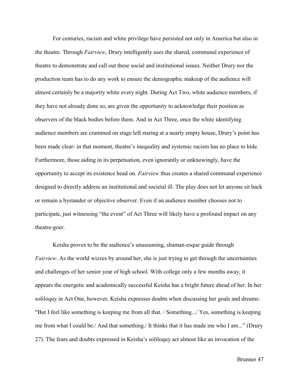For centuries, racism and white privilege have persisted not only in America but also in the theatre. Through *Fairview*, Drury intelligently uses the shared, communal experience of theatre to demonstrate and call out these social and institutional issues*.* Neither Drury nor the production team has to do any work to ensure the demographic makeup of the audience will almost certainly be a majority white every night. During Act Two, white audience members, if they have not already done so, are given the opportunity to acknowledge their position as observers of the black bodies before them. And in Act Three, once the white identifying audience members are crammed on stage left staring at a nearly empty house, Drury's point has been made clear- in that moment, theatre's inequality and systemic racism has no place to hide. Furthermore, those aiding in its perpetuation, even ignorantly or unknowingly, have the opportunity to accept its existence head on. *Fairview* thus creates a shared communal experience designed to directly address an institutional and societal ill. The play does not let anyone sit back or remain a bystander or objective observer. Even if an audience member chooses not to participate, just witnessing "the event" of Act Three will likely have a profound impact on any theatre-goer.

Keisha proves to be the audience's unassuming, shaman-esque guide through *Fairview*. As the world wizzes by around her, she is just trying to get through the uncertainties and challenges of her senior year of high school. With college only a few months away, it appears the energetic and academically successful Keisha has a bright future ahead of her. In her soliloquy in Act One, however, Keisha expresses doubts when discussing her goals and dreams: "But I feel like something is keeping me from all that. / Something.../ Yes, something is keeping me from what I could be./ And that something./ It thinks that it has made me who I am..." (Drury 27). The fears and doubts expressed in Keisha's soliloquy act almost like an invocation of the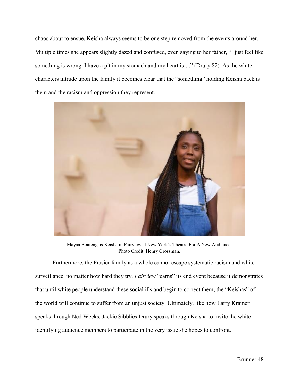chaos about to ensue. Keisha always seems to be one step removed from the events around her. Multiple times she appears slightly dazed and confused, even saying to her father, "I just feel like something is wrong. I have a pit in my stomach and my heart is-..." (Drury 82). As the white characters intrude upon the family it becomes clear that the "something" holding Keisha back is them and the racism and oppression they represent.



Mayaa Boateng as Keisha in Fairview at New York's Theatre For A New Audience. Photo Credit: Henry Grossman.

Furthermore, the Frasier family as a whole cannot escape systematic racism and white surveillance, no matter how hard they try. *Fairview* "earns" its end event because it demonstrates that until white people understand these social ills and begin to correct them, the "Keishas" of the world will continue to suffer from an unjust society. Ultimately, like how Larry Kramer speaks through Ned Weeks, Jackie Sibblies Drury speaks through Keisha to invite the white identifying audience members to participate in the very issue she hopes to confront.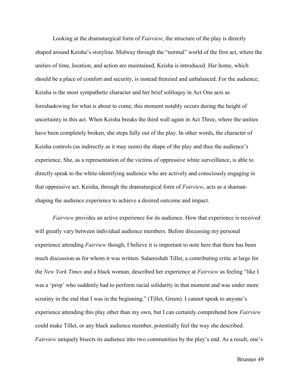Looking at the dramaturgical form of *Fairview*, the structure of the play is directly shaped around Keisha's storyline. Midway through the "normal" world of the first act, where the unities of time, location, and action are maintained, Keisha is introduced. Her home, which should be a place of comfort and security, is instead frenzied and unbalanced. For the audience, Keisha is the most sympathetic character and her brief soliloquy in Act One acts as foreshadowing for what is about to come; this moment notably occurs during the height of uncertainty in this act. When Keisha breaks the third wall again in Act Three, where the unities have been completely broken, she steps fully out of the play. In other words, the character of Keisha controls (as indirectly as it may seem) the shape of the play and thus the audience's experience. She, as a representation of the victims of oppressive white surveillance, is able to directly speak to the white-identifying audience who are actively and consciously engaging in that oppressive act. Keisha, through the dramaturgical form of *Fairview*, acts as a shamanshaping the audience experience to achieve a desired outcome and impact.

*Fairview* provides an active experience for its audience. How that experience is received will greatly vary between individual audience members. Before discussing my personal experience attending *Fairview* though, I believe it is important to note here that there has been much discussion as for whom it was written. Salamishah Tillet, a contributing critic at large for the *New York Times* and a black woman, described her experience at *Fairview* as feeling "like I was a 'prop' who suddenly had to perform racial solidarity in that moment and was under more scrutiny in the end that I was in the beginning." (Tillet, Green). I cannot speak to anyone's experience attending this play other than my own, but I can certainly comprehend how *Fairview*  could make Tillet, or any black audience member, potentially feel the way she described. *Fairview* uniquely bisects its audience into two communities by the play's end. As a result, one's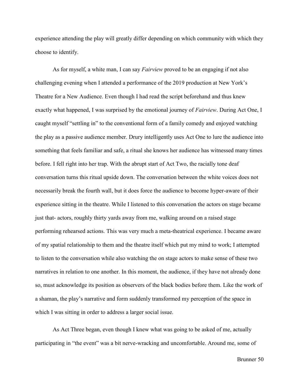experience attending the play will greatly differ depending on which community with which they choose to identify.

As for myself, a white man, I can say *Fairview* proved to be an engaging if not also challenging evening when I attended a performance of the 2019 production at New York's Theatre for a New Audience. Even though I had read the script beforehand and thus knew exactly what happened, I was surprised by the emotional journey of *Fairview*. During Act One, I caught myself "settling in" to the conventional form of a family comedy and enjoyed watching the play as a passive audience member. Drury intelligently uses Act One to lure the audience into something that feels familiar and safe, a ritual she knows her audience has witnessed many times before. I fell right into her trap. With the abrupt start of Act Two, the racially tone deaf conversation turns this ritual upside down. The conversation between the white voices does not necessarily break the fourth wall, but it does force the audience to become hyper-aware of their experience sitting in the theatre. While I listened to this conversation the actors on stage became just that- actors, roughly thirty yards away from me, walking around on a raised stage performing rehearsed actions. This was very much a meta-theatrical experience. I became aware of my spatial relationship to them and the theatre itself which put my mind to work; I attempted to listen to the conversation while also watching the on stage actors to make sense of these two narratives in relation to one another. In this moment, the audience, if they have not already done so, must acknowledge its position as observers of the black bodies before them. Like the work of a shaman, the play's narrative and form suddenly transformed my perception of the space in which I was sitting in order to address a larger social issue.

As Act Three began, even though I knew what was going to be asked of me, actually participating in "the event" was a bit nerve-wracking and uncomfortable. Around me, some of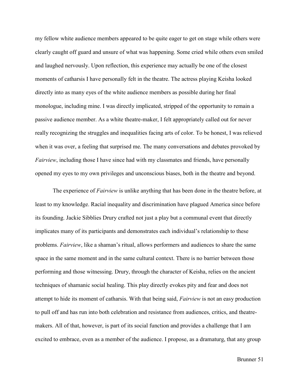my fellow white audience members appeared to be quite eager to get on stage while others were clearly caught off guard and unsure of what was happening. Some cried while others even smiled and laughed nervously. Upon reflection, this experience may actually be one of the closest moments of catharsis I have personally felt in the theatre. The actress playing Keisha looked directly into as many eyes of the white audience members as possible during her final monologue, including mine. I was directly implicated, stripped of the opportunity to remain a passive audience member. As a white theatre-maker, I felt appropriately called out for never really recognizing the struggles and inequalities facing arts of color. To be honest, I was relieved when it was over, a feeling that surprised me. The many conversations and debates provoked by *Fairview*, including those I have since had with my classmates and friends, have personally opened my eyes to my own privileges and unconscious biases, both in the theatre and beyond.

The experience of *Fairview* is unlike anything that has been done in the theatre before, at least to my knowledge. Racial inequality and discrimination have plagued America since before its founding. Jackie Sibblies Drury crafted not just a play but a communal event that directly implicates many of its participants and demonstrates each individual's relationship to these problems. *Fairview*, like a shaman's ritual, allows performers and audiences to share the same space in the same moment and in the same cultural context. There is no barrier between those performing and those witnessing. Drury, through the character of Keisha, relies on the ancient techniques of shamanic social healing. This play directly evokes pity and fear and does not attempt to hide its moment of catharsis. With that being said, *Fairview* is not an easy production to pull off and has run into both celebration and resistance from audiences, critics, and theatremakers. All of that, however, is part of its social function and provides a challenge that I am excited to embrace, even as a member of the audience. I propose, as a dramaturg, that any group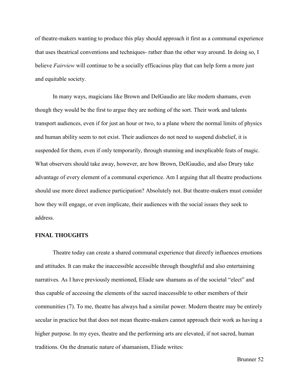of theatre-makers wanting to produce this play should approach it first as a communal experience that uses theatrical conventions and techniques- rather than the other way around. In doing so, I believe *Fairview* will continue to be a socially efficacious play that can help form a more just and equitable society.

In many ways, magicians like Brown and DelGaudio are like modern shamans, even though they would be the first to argue they are nothing of the sort. Their work and talents transport audiences, even if for just an hour or two, to a plane where the normal limits of physics and human ability seem to not exist. Their audiences do not need to suspend disbelief, it is suspended for them, even if only temporarily, through stunning and inexplicable feats of magic. What observers should take away, however, are how Brown, DelGaudio, and also Drury take advantage of every element of a communal experience. Am I arguing that all theatre productions should use more direct audience participation? Absolutely not. But theatre-makers must consider how they will engage, or even implicate, their audiences with the social issues they seek to address.

## **FINAL THOUGHTS**

Theatre today can create a shared communal experience that directly influences emotions and attitudes. It can make the inaccessible accessible through thoughtful and also entertaining narratives. As I have previously mentioned, Eliade saw shamans as of the societal "elect" and thus capable of accessing the elements of the sacred inaccessible to other members of their communities (7). To me, theatre has always had a similar power. Modern theatre may be entirely secular in practice but that does not mean theatre-makers cannot approach their work as having a higher purpose. In my eyes, theatre and the performing arts are elevated, if not sacred, human traditions. On the dramatic nature of shamanism, Eliade writes: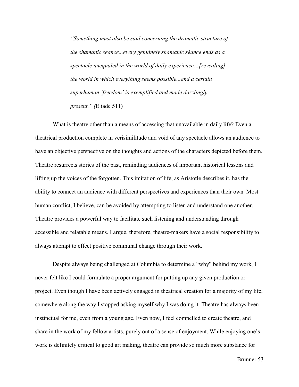*"Something must also be said concerning the dramatic structure of the shamanic séance...every genuinely shamanic séance ends as a spectacle unequaled in the world of daily experience…[revealing] the world in which everything seems possible...and a certain superhuman 'freedom' is exemplified and made dazzlingly present." (*Eliade 511)

What is theatre other than a means of accessing that unavailable in daily life? Even a theatrical production complete in verisimilitude and void of any spectacle allows an audience to have an objective perspective on the thoughts and actions of the characters depicted before them. Theatre resurrects stories of the past, reminding audiences of important historical lessons and lifting up the voices of the forgotten. This imitation of life, as Aristotle describes it, has the ability to connect an audience with different perspectives and experiences than their own. Most human conflict, I believe, can be avoided by attempting to listen and understand one another. Theatre provides a powerful way to facilitate such listening and understanding through accessible and relatable means. I argue, therefore, theatre-makers have a social responsibility to always attempt to effect positive communal change through their work.

Despite always being challenged at Columbia to determine a "why" behind my work, I never felt like I could formulate a proper argument for putting up any given production or project. Even though I have been actively engaged in theatrical creation for a majority of my life, somewhere along the way I stopped asking myself why I was doing it. Theatre has always been instinctual for me, even from a young age. Even now, I feel compelled to create theatre, and share in the work of my fellow artists, purely out of a sense of enjoyment. While enjoying one's work is definitely critical to good art making, theatre can provide so much more substance for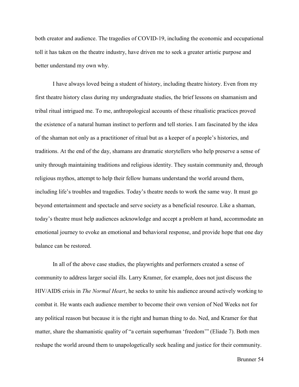both creator and audience. The tragedies of COVID-19, including the economic and occupational toll it has taken on the theatre industry, have driven me to seek a greater artistic purpose and better understand my own why.

I have always loved being a student of history, including theatre history. Even from my first theatre history class during my undergraduate studies, the brief lessons on shamanism and tribal ritual intrigued me. To me, anthropological accounts of these ritualistic practices proved the existence of a natural human instinct to perform and tell stories. I am fascinated by the idea of the shaman not only as a practitioner of ritual but as a keeper of a people's histories, and traditions. At the end of the day, shamans are dramatic storytellers who help preserve a sense of unity through maintaining traditions and religious identity. They sustain community and, through religious mythos, attempt to help their fellow humans understand the world around them, including life's troubles and tragedies. Today's theatre needs to work the same way. It must go beyond entertainment and spectacle and serve society as a beneficial resource. Like a shaman, today's theatre must help audiences acknowledge and accept a problem at hand, accommodate an emotional journey to evoke an emotional and behavioral response, and provide hope that one day balance can be restored.

In all of the above case studies, the playwrights and performers created a sense of community to address larger social ills. Larry Kramer, for example, does not just discuss the HIV/AIDS crisis in *The Normal Heart*, he seeks to unite his audience around actively working to combat it. He wants each audience member to become their own version of Ned Weeks not for any political reason but because it is the right and human thing to do. Ned, and Kramer for that matter, share the shamanistic quality of "a certain superhuman 'freedom'" (Eliade 7). Both men reshape the world around them to unapologetically seek healing and justice for their community.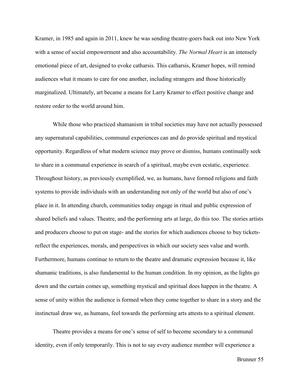Kramer, in 1985 and again in 2011, knew he was sending theatre-goers back out into New York with a sense of social empowerment and also accountability. *The Normal Heart* is an intensely emotional piece of art, designed to evoke catharsis. This catharsis, Kramer hopes, will remind audiences what it means to care for one another, including strangers and those historically marginalized. Ultimately, art became a means for Larry Kramer to effect positive change and restore order to the world around him.

While those who practiced shamanism in tribal societies may have not actually possessed any supernatural capabilities, communal experiences can and do provide spiritual and mystical opportunity. Regardless of what modern science may prove or dismiss, humans continually seek to share in a communal experience in search of a spiritual, maybe even ecstatic, experience. Throughout history, as previously exemplified, we, as humans, have formed religions and faith systems to provide individuals with an understanding not only of the world but also of one's place in it. In attending church, communities today engage in ritual and public expression of shared beliefs and values. Theatre, and the performing arts at large, do this too. The stories artists and producers choose to put on stage- and the stories for which audiences choose to buy ticketsreflect the experiences, morals, and perspectives in which our society sees value and worth. Furthermore, humans continue to return to the theatre and dramatic expression because it, like shamanic traditions, is also fundamental to the human condition. In my opinion, as the lights go down and the curtain comes up, something mystical and spiritual does happen in the theatre. A sense of unity within the audience is formed when they come together to share in a story and the instinctual draw we, as humans, feel towards the performing arts attests to a spiritual element.

Theatre provides a means for one's sense of self to become secondary to a communal identity, even if only temporarily. This is not to say every audience member will experience a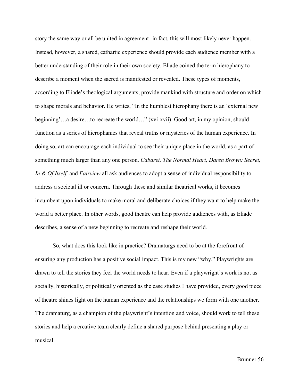story the same way or all be united in agreement- in fact, this will most likely never happen. Instead, however, a shared, cathartic experience should provide each audience member with a better understanding of their role in their own society. Eliade coined the term hierophany to describe a moment when the sacred is manifested or revealed. These types of moments, according to Eliade's theological arguments, provide mankind with structure and order on which to shape morals and behavior. He writes, "In the humblest hierophany there is an 'external new beginning'…a desire…to recreate the world…" (xvi-xvii). Good art, in my opinion, should function as a series of hierophanies that reveal truths or mysteries of the human experience. In doing so, art can encourage each individual to see their unique place in the world, as a part of something much larger than any one person. *Cabaret, The Normal Heart, Daren Brown: Secret, In & Of Itself,* and *Fairview* all ask audiences to adopt a sense of individual responsibility to address a societal ill or concern. Through these and similar theatrical works, it becomes incumbent upon individuals to make moral and deliberate choices if they want to help make the world a better place. In other words, good theatre can help provide audiences with, as Eliade describes, a sense of a new beginning to recreate and reshape their world.

So, what does this look like in practice? Dramaturgs need to be at the forefront of ensuring any production has a positive social impact. This is my new "why." Playwrights are drawn to tell the stories they feel the world needs to hear. Even if a playwright's work is not as socially, historically, or politically oriented as the case studies I have provided, every good piece of theatre shines light on the human experience and the relationships we form with one another. The dramaturg, as a champion of the playwright's intention and voice, should work to tell these stories and help a creative team clearly define a shared purpose behind presenting a play or musical.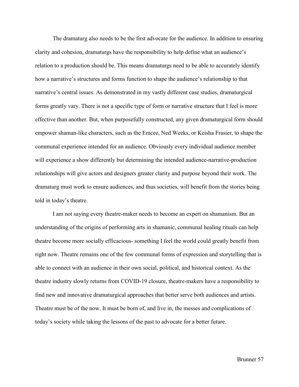The dramaturg also needs to be the first advocate for the audience. In addition to ensuring clarity and cohesion, dramaturgs have the responsibility to help define what an audience's relation to a production should be. This means dramaturgs need to be able to accurately identify how a narrative's structures and forms function to shape the audience's relationship to that narrative's central issues. As demonstrated in my vastly different case studies, dramaturgical forms greatly vary. There is not a specific type of form or narrative structure that I feel is more effective than another. But, when purposefully constructed, any given dramaturgical form should empower shaman-like characters, such as the Emcee, Ned Weeks, or Keisha Frasier, to shape the communal experience intended for an audience. Obviously every individual audience member will experience a show differently but determining the intended audience-narrative-production relationships will give actors and designers greater clarity and purpose beyond their work. The dramaturg must work to ensure audiences, and thus societies, will benefit from the stories being told in today's theatre.

I am not saying every theatre-maker needs to become an expert on shamanism. But an understanding of the origins of performing arts in shamanic, communal healing rituals can help theatre become more socially efficacious- something I feel the world could greatly benefit from right now. Theatre remains one of the few communal forms of expression and storytelling that is able to connect with an audience in their own social, political, and historical context. As the theatre industry slowly returns from COVID-19 closure, theatre-makers have a responsibility to find new and innovative dramaturgical approaches that better serve both audiences and artists. Theatre must be of the now. It must be born of, and live in, the messes and complications of today's society while taking the lessons of the past to advocate for a better future.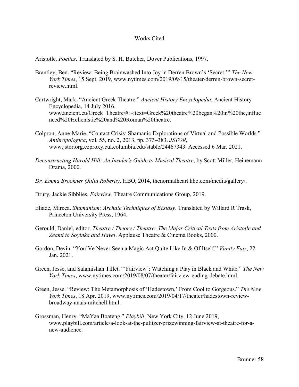## Works Cited

Aristotle. *Poetics*. Translated by S. H. Butcher, Dover Publications, 1997.

- Brantley, Ben. "Review: Being Brainwashed Into Joy in Derren Brown's 'Secret.'" *The New York Times*, 15 Sept. 2019, www.nytimes.com/2019/09/15/theater/derren-brown-secretreview.html.
- Cartwright, Mark. "Ancient Greek Theatre." *Ancient History Encyclopedia*, Ancient History Encyclopedia, 14 July 2016, www.ancient.eu/Greek\_Theatre/#:~:text=Greek%20theatre%20began%20in%20the,influe nced%20Hellenistic%20and%20Roman%20theatre.
- Colpron, Anne-Marie. "Contact Crisis: Shamanic Explorations of Virtual and Possible Worlds." *Anthropologica*, vol. 55, no. 2, 2013, pp. 373–383. *JSTOR*, www.jstor.org.ezproxy.cul.columbia.edu/stable/24467343. Accessed 6 Mar. 2021.
- *Deconstructing Harold Hill: An Insider's Guide to Musical Theatre*, by Scott Miller, Heinemann Drama, 2000.
- *Dr. Emma Brookner (Julia Roberts)*. HBO, 2014, thenormalheart.hbo.com/media/gallery/.
- Drury, Jackie Sibblies. *Fairview*. Theatre Communications Group, 2019.
- Eliade, Mircea. *Shamanism: Archaic Techniques of Ecstasy*. Translated by Willard R Trask, Princeton University Press, 1964.
- Gerould, Daniel, editor. *Theatre / Theory / Theatre: The Major Critical Texts from Aristotle and Zeami to Soyinka and Havel*. Applause Theatre & Cinema Books, 2000.
- Gordon, Devin. "You'Ve Never Seen a Magic Act Quite Like In & Of Itself." *Vanity Fair*, 22 Jan. 2021.
- Green, Jesse, and Salamishah Tillet. "'Fairview': Watching a Play in Black and White." *The New York Times*, www.nytimes.com/2019/08/07/theater/fairview-ending-debate.html.
- Green, Jesse. "Review: The Metamorphosis of 'Hadestown,' From Cool to Gorgeous." *The New York Times*, 18 Apr. 2019, www.nytimes.com/2019/04/17/theater/hadestown-reviewbroadway-anais-mitchell.html.
- Grossman, Henry. "MaYaa Boateng." *Playbill*, New York City, 12 June 2019, www.playbill.com/article/a-look-at-the-pulitzer-prizewinning-fairview-at-theatre-for-anew-audience.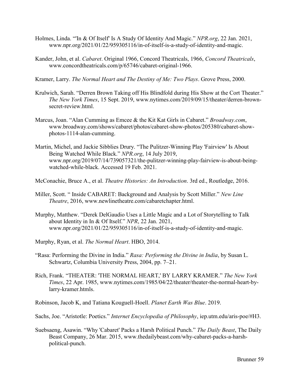- Holmes, Linda. "'In & Of Itself' Is A Study Of Identity And Magic." *NPR.org*, 22 Jan. 2021, www.npr.org/2021/01/22/959305116/in-of-itself-is-a-study-of-identity-and-magic.
- Kander, John, et al. *Cabaret*. Original 1966, Concord Theatricals, 1966, *Concord Theatricals*, www.concordtheatricals.com/p/65746/cabaret-original-1966.
- Kramer, Larry. *The Normal Heart and The Destiny of Me: Two Plays*. Grove Press, 2000.
- Krulwich, Sarah. "Derren Brown Taking off His Blindfold during His Show at the Cort Theater." *The New York Times*, 15 Sept. 2019, www.nytimes.com/2019/09/15/theater/derren-brownsecret-review.html.
- Marcus, Joan. "Alan Cumming as Emcee & the Kit Kat Girls in Cabaret." *Broadway.com*, www.broadway.com/shows/cabaret/photos/cabaret-show-photos/205380/cabaret-showphotos-1114-alan-cumming.
- Martin, Michel, and Jackie Sibblies Drury. "The Pulitzer-Winning Play 'Fairview' Is About Being Watched While Black." *NPR.org*, 14 July 2019, www.npr.org/2019/07/14/739057321/the-pulitzer-winning-play-fairview-is-about-beingwatched-while-black. Accessed 19 Feb. 2021.
- McConachie, Bruce A., et al. *Theatre Histories: An Introduction*. 3rd ed., Routledge, 2016.
- Miller, Scott. " Inside CABARET: Background and Analysis by Scott Miller." *New Line Theatre*, 2016, www.newlinetheatre.com/cabaretchapter.html.
- Murphy, Matthew. "Derek DelGaudio Uses a Little Magic and a Lot of Storytelling to Talk about Identity in In & Of Itself." *NPR*, 22 Jan. 2021, www.npr.org/2021/01/22/959305116/in-of-itself-is-a-study-of-identity-and-magic.
- Murphy, Ryan, et al. *The Normal Heart*. HBO, 2014.
- "Rasa: Performing the Divine in India." *Rasa: Performing the Divine in India*, by Susan L. Schwartz, Columbia University Press, 2004, pp. 7–21.
- Rich, Frank. "THEATER: 'THE NORMAL HEART,' BY LARRY KRAMER." *The New York Times*, 22 Apr. 1985, www.nytimes.com/1985/04/22/theater/theater-the-normal-heart-bylarry-kramer.htmls.

Robinson, Jacob K, and Tatiana Kouguell-Hoell. *Planet Earth Was Blue*. 2019.

Sachs, Joe. "Aristotle: Poetics." *Internet Encyclopedia of Philosophy*, iep.utm.edu/aris-poe/#H3.

Suebsaeng, Asawin. "Why 'Cabaret' Packs a Harsh Political Punch." *The Daily Beast*, The Daily Beast Company, 26 Mar. 2015, www.thedailybeast.com/why-cabaret-packs-a-harshpolitical-punch.